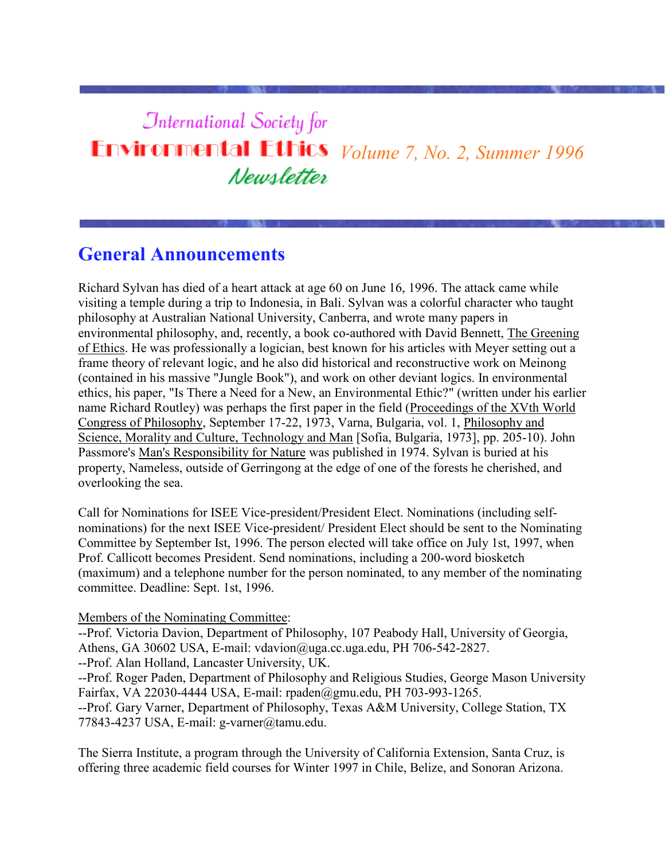# **International Society for Environmental Ethics** *Volume 7, No. 2, Summer 1996* Newsletter

# **General Announcements**

Richard Sylvan has died of a heart attack at age 60 on June 16, 1996. The attack came while visiting a temple during a trip to Indonesia, in Bali. Sylvan was a colorful character who taught philosophy at Australian National University, Canberra, and wrote many papers in environmental philosophy, and, recently, a book co-authored with David Bennett, The Greening of Ethics. He was professionally a logician, best known for his articles with Meyer setting out a frame theory of relevant logic, and he also did historical and reconstructive work on Meinong (contained in his massive "Jungle Book"), and work on other deviant logics. In environmental ethics, his paper, "Is There a Need for a New, an Environmental Ethic?" (written under his earlier name Richard Routley) was perhaps the first paper in the field (Proceedings of the XVth World Congress of Philosophy, September 17-22, 1973, Varna, Bulgaria, vol. 1, Philosophy and Science, Morality and Culture, Technology and Man [Sofia, Bulgaria, 1973], pp. 205-10). John Passmore's Man's Responsibility for Nature was published in 1974. Sylvan is buried at his property, Nameless, outside of Gerringong at the edge of one of the forests he cherished, and overlooking the sea.

Call for Nominations for ISEE Vice-president/President Elect. Nominations (including selfnominations) for the next ISEE Vice-president/ President Elect should be sent to the Nominating Committee by September Ist, 1996. The person elected will take office on July 1st, 1997, when Prof. Callicott becomes President. Send nominations, including a 200-word biosketch (maximum) and a telephone number for the person nominated, to any member of the nominating committee. Deadline: Sept. 1st, 1996.

### Members of the Nominating Committee:

--Prof. Victoria Davion, Department of Philosophy, 107 Peabody Hall, University of Georgia, Athens, GA 30602 USA, E-mail: vdavion@uga.cc.uga.edu, PH 706-542-2827.

--Prof. Alan Holland, Lancaster University, UK.

--Prof. Roger Paden, Department of Philosophy and Religious Studies, George Mason University Fairfax, VA 22030-4444 USA, E-mail: rpaden@gmu.edu, PH 703-993-1265. --Prof. Gary Varner, Department of Philosophy, Texas A&M University, College Station, TX

77843-4237 USA, E-mail: g-varner@tamu.edu.

The Sierra Institute, a program through the University of California Extension, Santa Cruz, is offering three academic field courses for Winter 1997 in Chile, Belize, and Sonoran Arizona.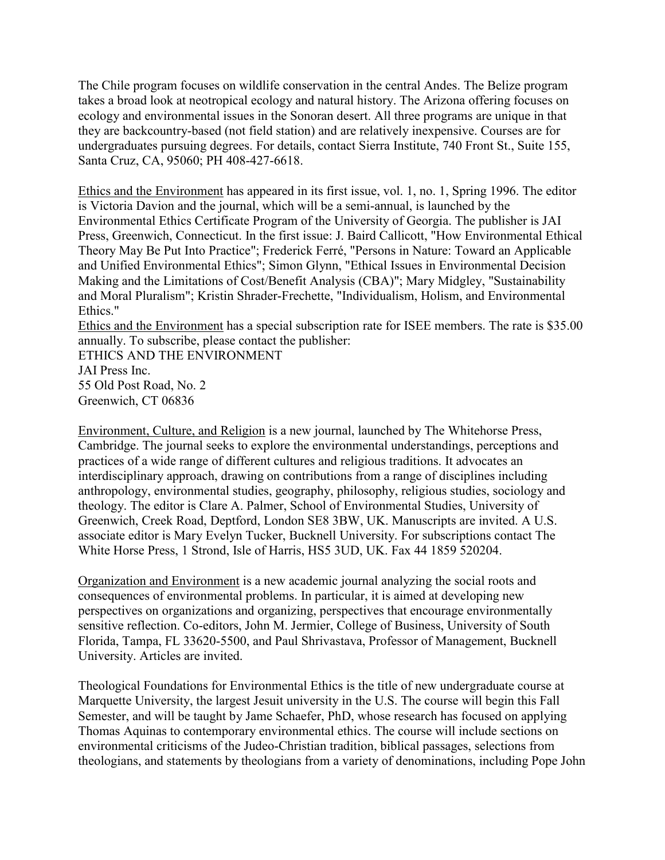The Chile program focuses on wildlife conservation in the central Andes. The Belize program takes a broad look at neotropical ecology and natural history. The Arizona offering focuses on ecology and environmental issues in the Sonoran desert. All three programs are unique in that they are backcountry-based (not field station) and are relatively inexpensive. Courses are for undergraduates pursuing degrees. For details, contact Sierra Institute, 740 Front St., Suite 155, Santa Cruz, CA, 95060; PH 408-427-6618.

Ethics and the Environment has appeared in its first issue, vol. 1, no. 1, Spring 1996. The editor is Victoria Davion and the journal, which will be a semi-annual, is launched by the Environmental Ethics Certificate Program of the University of Georgia. The publisher is JAI Press, Greenwich, Connecticut. In the first issue: J. Baird Callicott, "How Environmental Ethical Theory May Be Put Into Practice"; Frederick Ferré, "Persons in Nature: Toward an Applicable and Unified Environmental Ethics"; Simon Glynn, "Ethical Issues in Environmental Decision Making and the Limitations of Cost/Benefit Analysis (CBA)"; Mary Midgley, "Sustainability and Moral Pluralism"; Kristin Shrader-Frechette, "Individualism, Holism, and Environmental Ethics."

Ethics and the Environment has a special subscription rate for ISEE members. The rate is \$35.00 annually. To subscribe, please contact the publisher:

ETHICS AND THE ENVIRONMENT JAI Press Inc. 55 Old Post Road, No. 2

Greenwich, CT 06836

Environment, Culture, and Religion is a new journal, launched by The Whitehorse Press, Cambridge. The journal seeks to explore the environmental understandings, perceptions and practices of a wide range of different cultures and religious traditions. It advocates an interdisciplinary approach, drawing on contributions from a range of disciplines including anthropology, environmental studies, geography, philosophy, religious studies, sociology and theology. The editor is Clare A. Palmer, School of Environmental Studies, University of Greenwich, Creek Road, Deptford, London SE8 3BW, UK. Manuscripts are invited. A U.S. associate editor is Mary Evelyn Tucker, Bucknell University. For subscriptions contact The White Horse Press, 1 Strond, Isle of Harris, HS5 3UD, UK. Fax 44 1859 520204.

Organization and Environment is a new academic journal analyzing the social roots and consequences of environmental problems. In particular, it is aimed at developing new perspectives on organizations and organizing, perspectives that encourage environmentally sensitive reflection. Co-editors, John M. Jermier, College of Business, University of South Florida, Tampa, FL 33620-5500, and Paul Shrivastava, Professor of Management, Bucknell University. Articles are invited.

Theological Foundations for Environmental Ethics is the title of new undergraduate course at Marquette University, the largest Jesuit university in the U.S. The course will begin this Fall Semester, and will be taught by Jame Schaefer, PhD, whose research has focused on applying Thomas Aquinas to contemporary environmental ethics. The course will include sections on environmental criticisms of the Judeo-Christian tradition, biblical passages, selections from theologians, and statements by theologians from a variety of denominations, including Pope John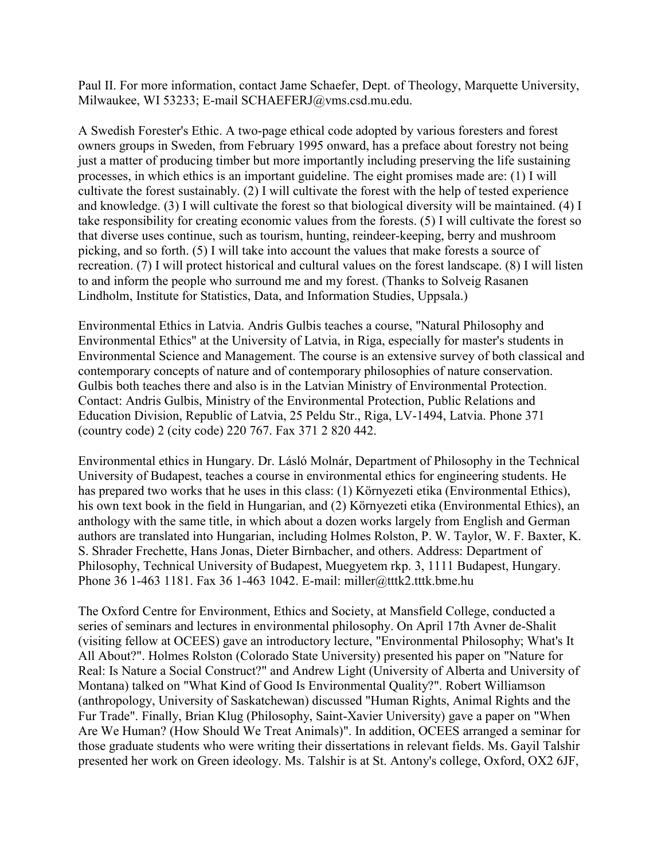Paul II. For more information, contact Jame Schaefer, Dept. of Theology, Marquette University, Milwaukee, WI 53233; E-mail SCHAEFERJ@vms.csd.mu.edu.

A Swedish Forester's Ethic. A two-page ethical code adopted by various foresters and forest owners groups in Sweden, from February 1995 onward, has a preface about forestry not being just a matter of producing timber but more importantly including preserving the life sustaining processes, in which ethics is an important guideline. The eight promises made are: (1) I will cultivate the forest sustainably. (2) I will cultivate the forest with the help of tested experience and knowledge. (3) I will cultivate the forest so that biological diversity will be maintained. (4) I take responsibility for creating economic values from the forests. (5) I will cultivate the forest so that diverse uses continue, such as tourism, hunting, reindeer-keeping, berry and mushroom picking, and so forth. (5) I will take into account the values that make forests a source of recreation. (7) I will protect historical and cultural values on the forest landscape. (8) I will listen to and inform the people who surround me and my forest. (Thanks to Solveig Rasanen Lindholm, Institute for Statistics, Data, and Information Studies, Uppsala.)

Environmental Ethics in Latvia. Andris Gulbis teaches a course, "Natural Philosophy and Environmental Ethics" at the University of Latvia, in Riga, especially for master's students in Environmental Science and Management. The course is an extensive survey of both classical and contemporary concepts of nature and of contemporary philosophies of nature conservation. Gulbis both teaches there and also is in the Latvian Ministry of Environmental Protection. Contact: Andris Gulbis, Ministry of the Environmental Protection, Public Relations and Education Division, Republic of Latvia, 25 Peldu Str., Riga, LV-1494, Latvia. Phone 371 (country code) 2 (city code) 220 767. Fax 371 2 820 442.

Environmental ethics in Hungary. Dr. Lásló Molnár, Department of Philosophy in the Technical University of Budapest, teaches a course in environmental ethics for engineering students. He has prepared two works that he uses in this class: (1) Környezeti etika (Environmental Ethics), his own text book in the field in Hungarian, and (2) Környezeti etika (Environmental Ethics), an anthology with the same title, in which about a dozen works largely from English and German authors are translated into Hungarian, including Holmes Rolston, P. W. Taylor, W. F. Baxter, K. S. Shrader Frechette, Hans Jonas, Dieter Birnbacher, and others. Address: Department of Philosophy, Technical University of Budapest, Muegyetem rkp. 3, 1111 Budapest, Hungary. Phone 36 1-463 1181. Fax 36 1-463 1042. E-mail: miller@tttk2.tttk.bme.hu

The Oxford Centre for Environment, Ethics and Society, at Mansfield College, conducted a series of seminars and lectures in environmental philosophy. On April 17th Avner de-Shalit (visiting fellow at OCEES) gave an introductory lecture, "Environmental Philosophy; What's It All About?". Holmes Rolston (Colorado State University) presented his paper on "Nature for Real: Is Nature a Social Construct?" and Andrew Light (University of Alberta and University of Montana) talked on "What Kind of Good Is Environmental Quality?". Robert Williamson (anthropology, University of Saskatchewan) discussed "Human Rights, Animal Rights and the Fur Trade". Finally, Brian Klug (Philosophy, Saint-Xavier University) gave a paper on "When Are We Human? (How Should We Treat Animals)". In addition, OCEES arranged a seminar for those graduate students who were writing their dissertations in relevant fields. Ms. Gayil Talshir presented her work on Green ideology. Ms. Talshir is at St. Antony's college, Oxford, OX2 6JF,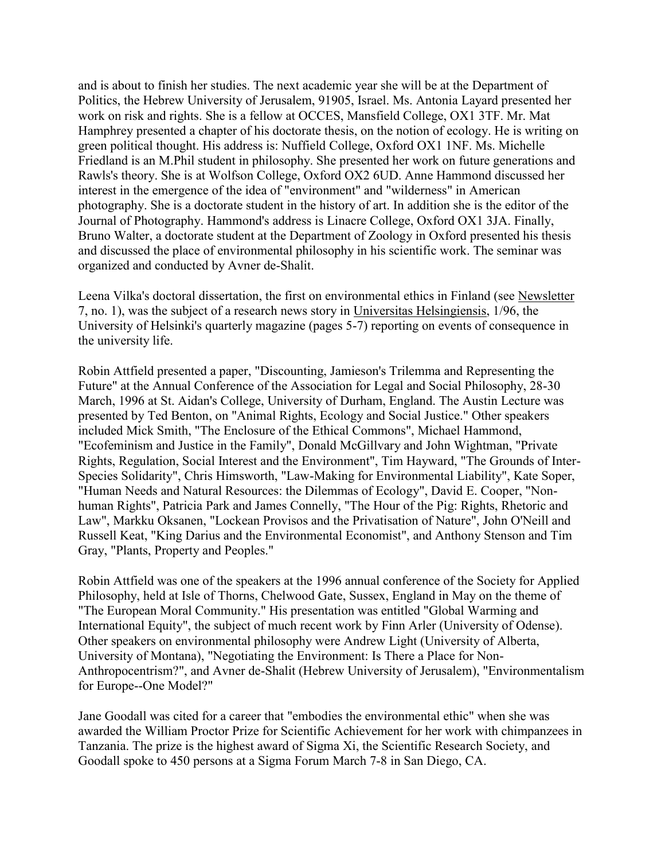and is about to finish her studies. The next academic year she will be at the Department of Politics, the Hebrew University of Jerusalem, 91905, Israel. Ms. Antonia Layard presented her work on risk and rights. She is a fellow at OCCES, Mansfield College, OX1 3TF. Mr. Mat Hamphrey presented a chapter of his doctorate thesis, on the notion of ecology. He is writing on green political thought. His address is: Nuffield College, Oxford OX1 1NF. Ms. Michelle Friedland is an M.Phil student in philosophy. She presented her work on future generations and Rawls's theory. She is at Wolfson College, Oxford OX2 6UD. Anne Hammond discussed her interest in the emergence of the idea of "environment" and "wilderness" in American photography. She is a doctorate student in the history of art. In addition she is the editor of the Journal of Photography. Hammond's address is Linacre College, Oxford OX1 3JA. Finally, Bruno Walter, a doctorate student at the Department of Zoology in Oxford presented his thesis and discussed the place of environmental philosophy in his scientific work. The seminar was organized and conducted by Avner de-Shalit.

Leena Vilka's doctoral dissertation, the first on environmental ethics in Finland (see Newsletter 7, no. 1), was the subject of a research news story in Universitas Helsingiensis, 1/96, the University of Helsinki's quarterly magazine (pages 5-7) reporting on events of consequence in the university life.

Robin Attfield presented a paper, "Discounting, Jamieson's Trilemma and Representing the Future" at the Annual Conference of the Association for Legal and Social Philosophy, 28-30 March, 1996 at St. Aidan's College, University of Durham, England. The Austin Lecture was presented by Ted Benton, on "Animal Rights, Ecology and Social Justice." Other speakers included Mick Smith, "The Enclosure of the Ethical Commons", Michael Hammond, "Ecofeminism and Justice in the Family", Donald McGillvary and John Wightman, "Private Rights, Regulation, Social Interest and the Environment", Tim Hayward, "The Grounds of Inter-Species Solidarity", Chris Himsworth, "Law-Making for Environmental Liability", Kate Soper, "Human Needs and Natural Resources: the Dilemmas of Ecology", David E. Cooper, "Nonhuman Rights", Patricia Park and James Connelly, "The Hour of the Pig: Rights, Rhetoric and Law", Markku Oksanen, "Lockean Provisos and the Privatisation of Nature", John O'Neill and Russell Keat, "King Darius and the Environmental Economist", and Anthony Stenson and Tim Gray, "Plants, Property and Peoples."

Robin Attfield was one of the speakers at the 1996 annual conference of the Society for Applied Philosophy, held at Isle of Thorns, Chelwood Gate, Sussex, England in May on the theme of "The European Moral Community." His presentation was entitled "Global Warming and International Equity", the subject of much recent work by Finn Arler (University of Odense). Other speakers on environmental philosophy were Andrew Light (University of Alberta, University of Montana), "Negotiating the Environment: Is There a Place for Non-Anthropocentrism?", and Avner de-Shalit (Hebrew University of Jerusalem), "Environmentalism for Europe--One Model?"

Jane Goodall was cited for a career that "embodies the environmental ethic" when she was awarded the William Proctor Prize for Scientific Achievement for her work with chimpanzees in Tanzania. The prize is the highest award of Sigma Xi, the Scientific Research Society, and Goodall spoke to 450 persons at a Sigma Forum March 7-8 in San Diego, CA.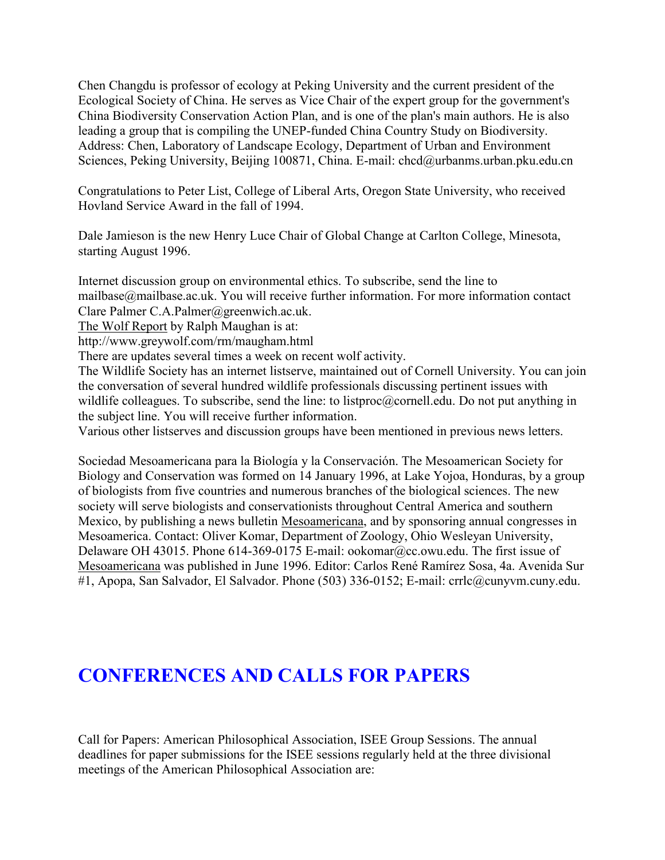Chen Changdu is professor of ecology at Peking University and the current president of the Ecological Society of China. He serves as Vice Chair of the expert group for the government's China Biodiversity Conservation Action Plan, and is one of the plan's main authors. He is also leading a group that is compiling the UNEP-funded China Country Study on Biodiversity. Address: Chen, Laboratory of Landscape Ecology, Department of Urban and Environment Sciences, Peking University, Beijing 100871, China. E-mail: chcd@urbanms.urban.pku.edu.cn

Congratulations to Peter List, College of Liberal Arts, Oregon State University, who received Hovland Service Award in the fall of 1994.

Dale Jamieson is the new Henry Luce Chair of Global Change at Carlton College, Minesota, starting August 1996.

Internet discussion group on environmental ethics. To subscribe, send the line to mailbase@mailbase.ac.uk. You will receive further information. For more information contact Clare Palmer C.A.Palmer@greenwich.ac.uk.

The Wolf Report by Ralph Maughan is at:

http://www.greywolf.com/rm/maugham.html

There are updates several times a week on recent wolf activity.

The Wildlife Society has an internet listserve, maintained out of Cornell University. You can join the conversation of several hundred wildlife professionals discussing pertinent issues with wildlife colleagues. To subscribe, send the line: to listproc@cornell.edu. Do not put anything in the subject line. You will receive further information.

Various other listserves and discussion groups have been mentioned in previous news letters.

Sociedad Mesoamericana para la Biología y la Conservación. The Mesoamerican Society for Biology and Conservation was formed on 14 January 1996, at Lake Yojoa, Honduras, by a group of biologists from five countries and numerous branches of the biological sciences. The new society will serve biologists and conservationists throughout Central America and southern Mexico, by publishing a news bulletin Mesoamericana, and by sponsoring annual congresses in Mesoamerica. Contact: Oliver Komar, Department of Zoology, Ohio Wesleyan University, Delaware OH 43015. Phone 614-369-0175 E-mail: ookomar@cc.owu.edu. The first issue of Mesoamericana was published in June 1996. Editor: Carlos René Ramírez Sosa, 4a. Avenida Sur #1, Apopa, San Salvador, El Salvador. Phone (503) 336-0152; E-mail: crrlc@cunyvm.cuny.edu.

# **CONFERENCES AND CALLS FOR PAPERS**

Call for Papers: American Philosophical Association, ISEE Group Sessions. The annual deadlines for paper submissions for the ISEE sessions regularly held at the three divisional meetings of the American Philosophical Association are: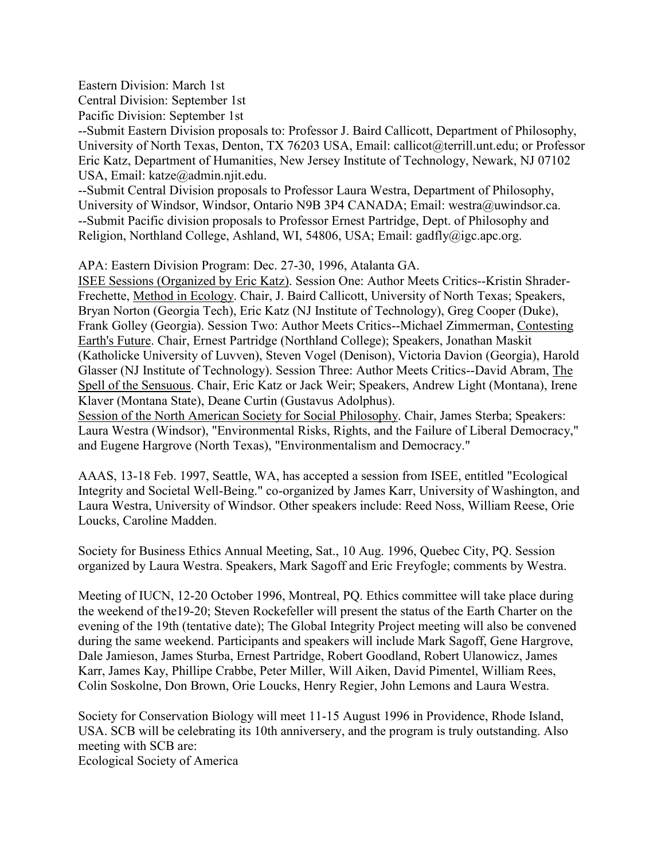Eastern Division: March 1st

Central Division: September 1st

Pacific Division: September 1st

--Submit Eastern Division proposals to: Professor J. Baird Callicott, Department of Philosophy, University of North Texas, Denton, TX 76203 USA, Email: callicot@terrill.unt.edu; or Professor Eric Katz, Department of Humanities, New Jersey Institute of Technology, Newark, NJ 07102 USA, Email: katze@admin.njit.edu.

--Submit Central Division proposals to Professor Laura Westra, Department of Philosophy, University of Windsor, Windsor, Ontario N9B 3P4 CANADA; Email: westra@uwindsor.ca. --Submit Pacific division proposals to Professor Ernest Partridge, Dept. of Philosophy and Religion, Northland College, Ashland, WI, 54806, USA; Email: gadfly@igc.apc.org.

APA: Eastern Division Program: Dec. 27-30, 1996, Atalanta GA.

ISEE Sessions (Organized by Eric Katz). Session One: Author Meets Critics--Kristin Shrader-Frechette, Method in Ecology. Chair, J. Baird Callicott, University of North Texas; Speakers, Bryan Norton (Georgia Tech), Eric Katz (NJ Institute of Technology), Greg Cooper (Duke), Frank Golley (Georgia). Session Two: Author Meets Critics--Michael Zimmerman, Contesting Earth's Future. Chair, Ernest Partridge (Northland College); Speakers, Jonathan Maskit (Katholicke University of Luvven), Steven Vogel (Denison), Victoria Davion (Georgia), Harold Glasser (NJ Institute of Technology). Session Three: Author Meets Critics--David Abram, The Spell of the Sensuous. Chair, Eric Katz or Jack Weir; Speakers, Andrew Light (Montana), Irene Klaver (Montana State), Deane Curtin (Gustavus Adolphus).

Session of the North American Society for Social Philosophy. Chair, James Sterba; Speakers: Laura Westra (Windsor), "Environmental Risks, Rights, and the Failure of Liberal Democracy," and Eugene Hargrove (North Texas), "Environmentalism and Democracy."

AAAS, 13-18 Feb. 1997, Seattle, WA, has accepted a session from ISEE, entitled "Ecological Integrity and Societal Well-Being." co-organized by James Karr, University of Washington, and Laura Westra, University of Windsor. Other speakers include: Reed Noss, William Reese, Orie Loucks, Caroline Madden.

Society for Business Ethics Annual Meeting, Sat., 10 Aug. 1996, Quebec City, PQ. Session organized by Laura Westra. Speakers, Mark Sagoff and Eric Freyfogle; comments by Westra.

Meeting of IUCN, 12-20 October 1996, Montreal, PQ. Ethics committee will take place during the weekend of the19-20; Steven Rockefeller will present the status of the Earth Charter on the evening of the 19th (tentative date); The Global Integrity Project meeting will also be convened during the same weekend. Participants and speakers will include Mark Sagoff, Gene Hargrove, Dale Jamieson, James Sturba, Ernest Partridge, Robert Goodland, Robert Ulanowicz, James Karr, James Kay, Phillipe Crabbe, Peter Miller, Will Aiken, David Pimentel, William Rees, Colin Soskolne, Don Brown, Orie Loucks, Henry Regier, John Lemons and Laura Westra.

Society for Conservation Biology will meet 11-15 August 1996 in Providence, Rhode Island, USA. SCB will be celebrating its 10th anniversery, and the program is truly outstanding. Also meeting with SCB are:

Ecological Society of America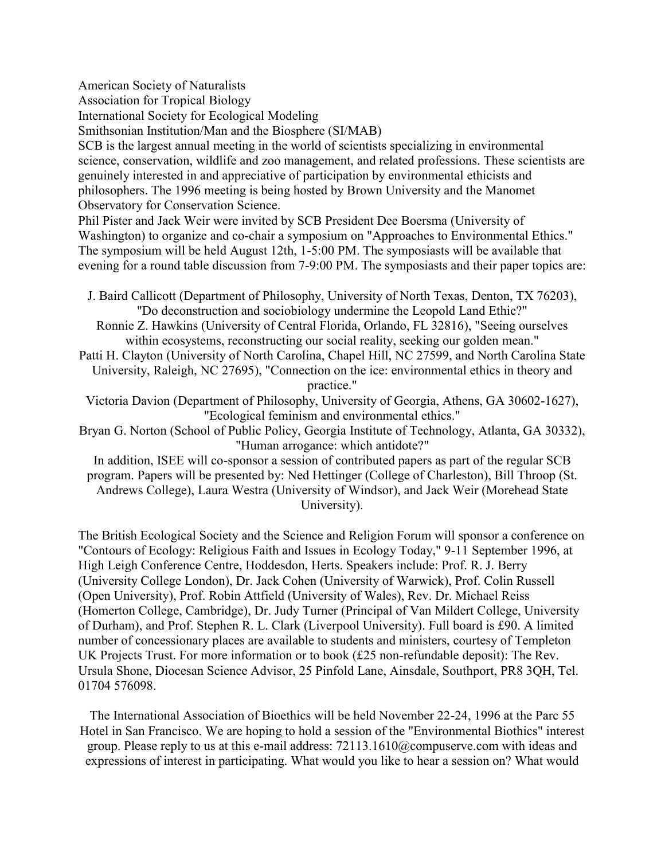American Society of Naturalists

Association for Tropical Biology

International Society for Ecological Modeling

Smithsonian Institution/Man and the Biosphere (SI/MAB)

SCB is the largest annual meeting in the world of scientists specializing in environmental science, conservation, wildlife and zoo management, and related professions. These scientists are genuinely interested in and appreciative of participation by environmental ethicists and philosophers. The 1996 meeting is being hosted by Brown University and the Manomet Observatory for Conservation Science.

Phil Pister and Jack Weir were invited by SCB President Dee Boersma (University of Washington) to organize and co-chair a symposium on "Approaches to Environmental Ethics." The symposium will be held August 12th, 1-5:00 PM. The symposiasts will be available that evening for a round table discussion from 7-9:00 PM. The symposiasts and their paper topics are:

J. Baird Callicott (Department of Philosophy, University of North Texas, Denton, TX 76203), "Do deconstruction and sociobiology undermine the Leopold Land Ethic?"

Ronnie Z. Hawkins (University of Central Florida, Orlando, FL 32816), "Seeing ourselves within ecosystems, reconstructing our social reality, seeking our golden mean."

Patti H. Clayton (University of North Carolina, Chapel Hill, NC 27599, and North Carolina State University, Raleigh, NC 27695), "Connection on the ice: environmental ethics in theory and practice."

Victoria Davion (Department of Philosophy, University of Georgia, Athens, GA 30602-1627), "Ecological feminism and environmental ethics."

Bryan G. Norton (School of Public Policy, Georgia Institute of Technology, Atlanta, GA 30332), "Human arrogance: which antidote?"

In addition, ISEE will co-sponsor a session of contributed papers as part of the regular SCB program. Papers will be presented by: Ned Hettinger (College of Charleston), Bill Throop (St. Andrews College), Laura Westra (University of Windsor), and Jack Weir (Morehead State University).

The British Ecological Society and the Science and Religion Forum will sponsor a conference on "Contours of Ecology: Religious Faith and Issues in Ecology Today," 9-11 September 1996, at High Leigh Conference Centre, Hoddesdon, Herts. Speakers include: Prof. R. J. Berry (University College London), Dr. Jack Cohen (University of Warwick), Prof. Colin Russell (Open University), Prof. Robin Attfield (University of Wales), Rev. Dr. Michael Reiss (Homerton College, Cambridge), Dr. Judy Turner (Principal of Van Mildert College, University of Durham), and Prof. Stephen R. L. Clark (Liverpool University). Full board is £90. A limited number of concessionary places are available to students and ministers, courtesy of Templeton UK Projects Trust. For more information or to book (£25 non-refundable deposit): The Rev. Ursula Shone, Diocesan Science Advisor, 25 Pinfold Lane, Ainsdale, Southport, PR8 3QH, Tel. 01704 576098.

The International Association of Bioethics will be held November 22-24, 1996 at the Parc 55 Hotel in San Francisco. We are hoping to hold a session of the "Environmental Biothics" interest group. Please reply to us at this e-mail address: 72113.1610@compuserve.com with ideas and expressions of interest in participating. What would you like to hear a session on? What would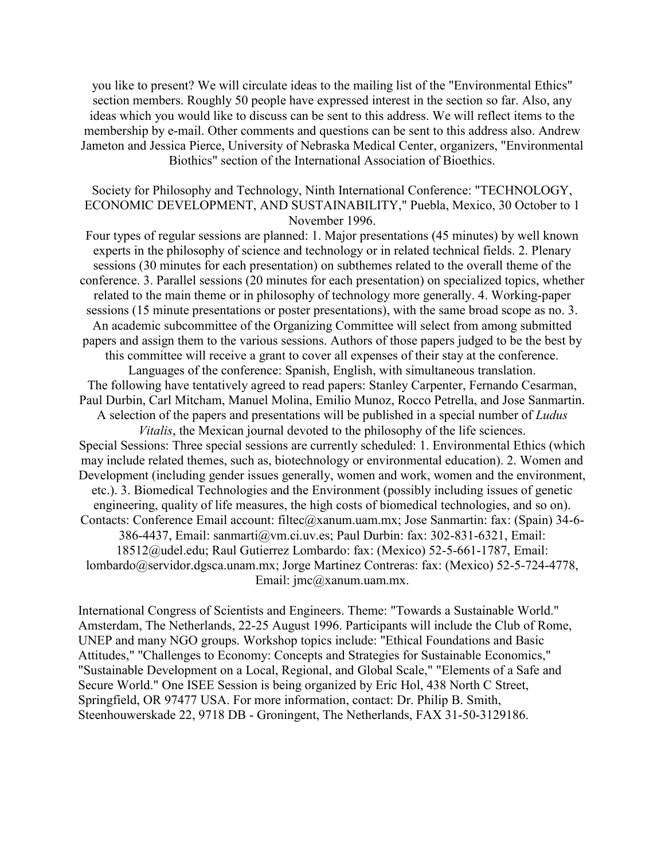you like to present? We will circulate ideas to the mailing list of the "Environmental Ethics" section members. Roughly 50 people have expressed interest in the section so far. Also, any ideas which you would like to discuss can be sent to this address. We will reflect items to the membership by e-mail. Other comments and questions can be sent to this address also. Andrew Jameton and Jessica Pierce, University of Nebraska Medical Center, organizers, "Environmental Biothics" section of the International Association of Bioethics.

#### Society for Philosophy and Technology, Ninth International Conference: "TECHNOLOGY, ECONOMIC DEVELOPMENT, AND SUSTAINABILITY," Puebla, Mexico, 30 October to 1 November 1996.

Four types of regular sessions are planned: 1. Major presentations (45 minutes) by well known experts in the philosophy of science and technology or in related technical fields. 2. Plenary sessions (30 minutes for each presentation) on subthemes related to the overall theme of the conference. 3. Parallel sessions (20 minutes for each presentation) on specialized topics, whether related to the main theme or in philosophy of technology more generally. 4. Working-paper sessions (15 minute presentations or poster presentations), with the same broad scope as no. 3. An academic subcommittee of the Organizing Committee will select from among submitted papers and assign them to the various sessions. Authors of those papers judged to be the best by this committee will receive a grant to cover all expenses of their stay at the conference. Languages of the conference: Spanish, English, with simultaneous translation. The following have tentatively agreed to read papers: Stanley Carpenter, Fernando Cesarman, Paul Durbin, Carl Mitcham, Manuel Molina, Emilio Munoz, Rocco Petrella, and Jose Sanmartin. A selection of the papers and presentations will be published in a special number of *Ludus Vitalis*, the Mexican journal devoted to the philosophy of the life sciences. Special Sessions: Three special sessions are currently scheduled: 1. Environmental Ethics (which may include related themes, such as, biotechnology or environmental education). 2. Women and Development (including gender issues generally, women and work, women and the environment, etc.). 3. Biomedical Technologies and the Environment (possibly including issues of genetic engineering, quality of life measures, the high costs of biomedical technologies, and so on). Contacts: Conference Email account: filtec@xanum.uam.mx; Jose Sanmartin: fax: (Spain) 34-6- 386-4437, Email: sanmarti@vm.ci.uv.es; Paul Durbin: fax: 302-831-6321, Email: 18512@udel.edu; Raul Gutierrez Lombardo: fax: (Mexico) 52-5-661-1787, Email: lombardo@servidor.dgsca.unam.mx; Jorge Martinez Contreras: fax: (Mexico) 52-5-724-4778, Email: jmc@xanum.uam.mx.

International Congress of Scientists and Engineers. Theme: "Towards a Sustainable World." Amsterdam, The Netherlands, 22-25 August 1996. Participants will include the Club of Rome, UNEP and many NGO groups. Workshop topics include: "Ethical Foundations and Basic Attitudes," "Challenges to Economy: Concepts and Strategies for Sustainable Economics," "Sustainable Development on a Local, Regional, and Global Scale," "Elements of a Safe and Secure World." One ISEE Session is being organized by Eric Hol, 438 North C Street, Springfield, OR 97477 USA. For more information, contact: Dr. Philip B. Smith, Steenhouwerskade 22, 9718 DB - Groningent, The Netherlands, FAX 31-50-3129186.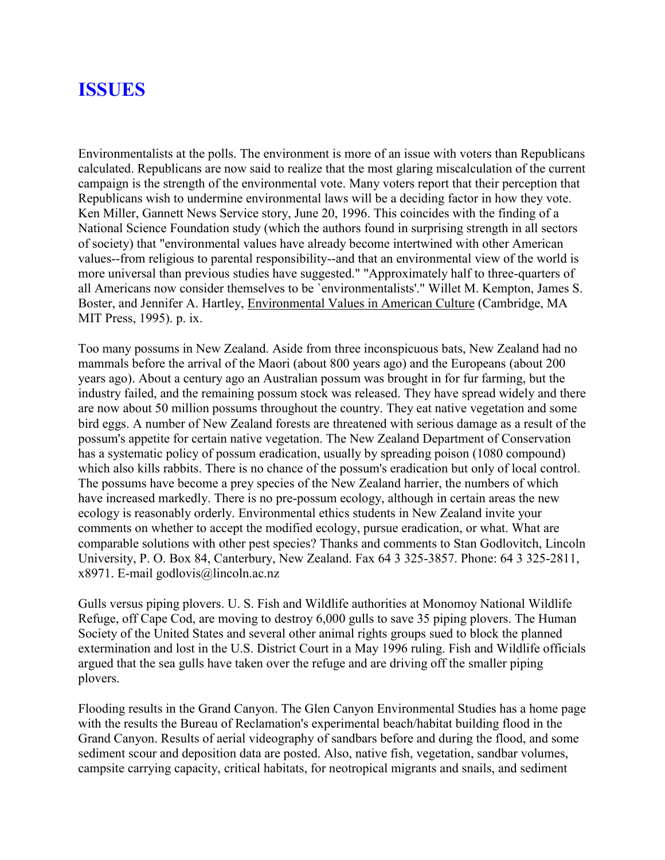# **ISSUES**

Environmentalists at the polls. The environment is more of an issue with voters than Republicans calculated. Republicans are now said to realize that the most glaring miscalculation of the current campaign is the strength of the environmental vote. Many voters report that their perception that Republicans wish to undermine environmental laws will be a deciding factor in how they vote. Ken Miller, Gannett News Service story, June 20, 1996. This coincides with the finding of a National Science Foundation study (which the authors found in surprising strength in all sectors of society) that "environmental values have already become intertwined with other American values--from religious to parental responsibility--and that an environmental view of the world is more universal than previous studies have suggested." "Approximately half to three-quarters of all Americans now consider themselves to be `environmentalists'." Willet M. Kempton, James S. Boster, and Jennifer A. Hartley, Environmental Values in American Culture (Cambridge, MA MIT Press, 1995). p. ix.

Too many possums in New Zealand. Aside from three inconspicuous bats, New Zealand had no mammals before the arrival of the Maori (about 800 years ago) and the Europeans (about 200 years ago). About a century ago an Australian possum was brought in for fur farming, but the industry failed, and the remaining possum stock was released. They have spread widely and there are now about 50 million possums throughout the country. They eat native vegetation and some bird eggs. A number of New Zealand forests are threatened with serious damage as a result of the possum's appetite for certain native vegetation. The New Zealand Department of Conservation has a systematic policy of possum eradication, usually by spreading poison (1080 compound) which also kills rabbits. There is no chance of the possum's eradication but only of local control. The possums have become a prey species of the New Zealand harrier, the numbers of which have increased markedly. There is no pre-possum ecology, although in certain areas the new ecology is reasonably orderly. Environmental ethics students in New Zealand invite your comments on whether to accept the modified ecology, pursue eradication, or what. What are comparable solutions with other pest species? Thanks and comments to Stan Godlovitch, Lincoln University, P. O. Box 84, Canterbury, New Zealand. Fax 64 3 325-3857. Phone: 64 3 325-2811, x8971. E-mail godlovis@lincoln.ac.nz

Gulls versus piping plovers. U. S. Fish and Wildlife authorities at Monomoy National Wildlife Refuge, off Cape Cod, are moving to destroy 6,000 gulls to save 35 piping plovers. The Human Society of the United States and several other animal rights groups sued to block the planned extermination and lost in the U.S. District Court in a May 1996 ruling. Fish and Wildlife officials argued that the sea gulls have taken over the refuge and are driving off the smaller piping plovers.

Flooding results in the Grand Canyon. The Glen Canyon Environmental Studies has a home page with the results the Bureau of Reclamation's experimental beach/habitat building flood in the Grand Canyon. Results of aerial videography of sandbars before and during the flood, and some sediment scour and deposition data are posted. Also, native fish, vegetation, sandbar volumes, campsite carrying capacity, critical habitats, for neotropical migrants and snails, and sediment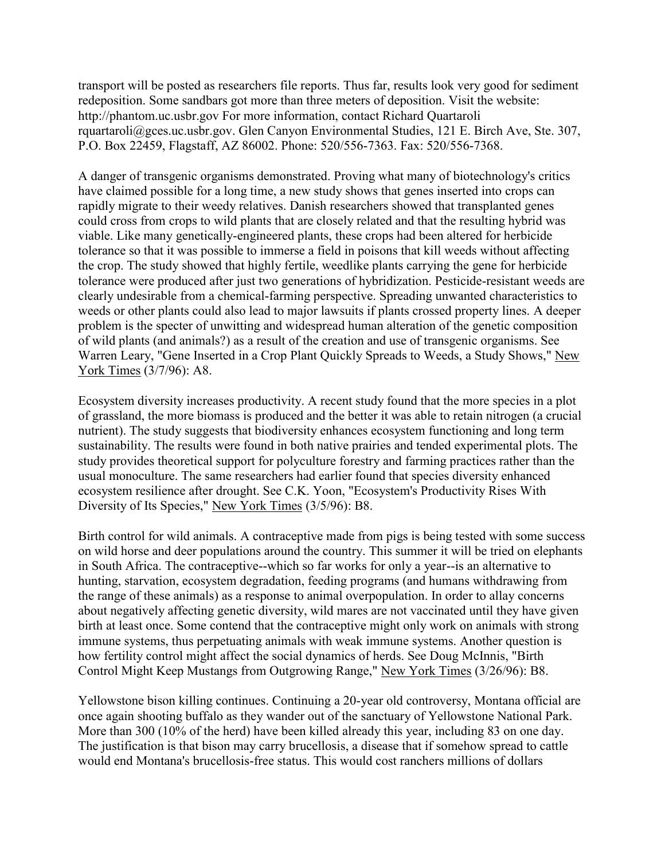transport will be posted as researchers file reports. Thus far, results look very good for sediment redeposition. Some sandbars got more than three meters of deposition. Visit the website: http://phantom.uc.usbr.gov For more information, contact Richard Quartaroli rquartaroli@gces.uc.usbr.gov. Glen Canyon Environmental Studies, 121 E. Birch Ave, Ste. 307, P.O. Box 22459, Flagstaff, AZ 86002. Phone: 520/556-7363. Fax: 520/556-7368.

A danger of transgenic organisms demonstrated. Proving what many of biotechnology's critics have claimed possible for a long time, a new study shows that genes inserted into crops can rapidly migrate to their weedy relatives. Danish researchers showed that transplanted genes could cross from crops to wild plants that are closely related and that the resulting hybrid was viable. Like many genetically-engineered plants, these crops had been altered for herbicide tolerance so that it was possible to immerse a field in poisons that kill weeds without affecting the crop. The study showed that highly fertile, weedlike plants carrying the gene for herbicide tolerance were produced after just two generations of hybridization. Pesticide-resistant weeds are clearly undesirable from a chemical-farming perspective. Spreading unwanted characteristics to weeds or other plants could also lead to major lawsuits if plants crossed property lines. A deeper problem is the specter of unwitting and widespread human alteration of the genetic composition of wild plants (and animals?) as a result of the creation and use of transgenic organisms. See Warren Leary, "Gene Inserted in a Crop Plant Quickly Spreads to Weeds, a Study Shows," New York Times (3/7/96): A8.

Ecosystem diversity increases productivity. A recent study found that the more species in a plot of grassland, the more biomass is produced and the better it was able to retain nitrogen (a crucial nutrient). The study suggests that biodiversity enhances ecosystem functioning and long term sustainability. The results were found in both native prairies and tended experimental plots. The study provides theoretical support for polyculture forestry and farming practices rather than the usual monoculture. The same researchers had earlier found that species diversity enhanced ecosystem resilience after drought. See C.K. Yoon, "Ecosystem's Productivity Rises With Diversity of Its Species," New York Times (3/5/96): B8.

Birth control for wild animals. A contraceptive made from pigs is being tested with some success on wild horse and deer populations around the country. This summer it will be tried on elephants in South Africa. The contraceptive--which so far works for only a year--is an alternative to hunting, starvation, ecosystem degradation, feeding programs (and humans withdrawing from the range of these animals) as a response to animal overpopulation. In order to allay concerns about negatively affecting genetic diversity, wild mares are not vaccinated until they have given birth at least once. Some contend that the contraceptive might only work on animals with strong immune systems, thus perpetuating animals with weak immune systems. Another question is how fertility control might affect the social dynamics of herds. See Doug McInnis, "Birth Control Might Keep Mustangs from Outgrowing Range," New York Times (3/26/96): B8.

Yellowstone bison killing continues. Continuing a 20-year old controversy, Montana official are once again shooting buffalo as they wander out of the sanctuary of Yellowstone National Park. More than 300 (10% of the herd) have been killed already this year, including 83 on one day. The justification is that bison may carry brucellosis, a disease that if somehow spread to cattle would end Montana's brucellosis-free status. This would cost ranchers millions of dollars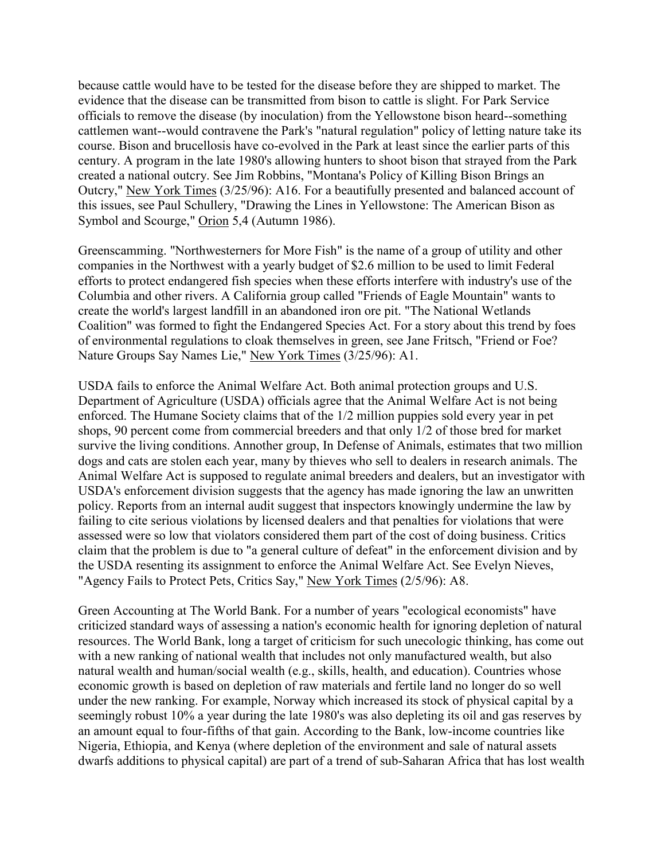because cattle would have to be tested for the disease before they are shipped to market. The evidence that the disease can be transmitted from bison to cattle is slight. For Park Service officials to remove the disease (by inoculation) from the Yellowstone bison heard--something cattlemen want--would contravene the Park's "natural regulation" policy of letting nature take its course. Bison and brucellosis have co-evolved in the Park at least since the earlier parts of this century. A program in the late 1980's allowing hunters to shoot bison that strayed from the Park created a national outcry. See Jim Robbins, "Montana's Policy of Killing Bison Brings an Outcry," New York Times (3/25/96): A16. For a beautifully presented and balanced account of this issues, see Paul Schullery, "Drawing the Lines in Yellowstone: The American Bison as Symbol and Scourge," Orion 5,4 (Autumn 1986).

Greenscamming. "Northwesterners for More Fish" is the name of a group of utility and other companies in the Northwest with a yearly budget of \$2.6 million to be used to limit Federal efforts to protect endangered fish species when these efforts interfere with industry's use of the Columbia and other rivers. A California group called "Friends of Eagle Mountain" wants to create the world's largest landfill in an abandoned iron ore pit. "The National Wetlands Coalition" was formed to fight the Endangered Species Act. For a story about this trend by foes of environmental regulations to cloak themselves in green, see Jane Fritsch, "Friend or Foe? Nature Groups Say Names Lie," New York Times (3/25/96): A1.

USDA fails to enforce the Animal Welfare Act. Both animal protection groups and U.S. Department of Agriculture (USDA) officials agree that the Animal Welfare Act is not being enforced. The Humane Society claims that of the 1/2 million puppies sold every year in pet shops, 90 percent come from commercial breeders and that only 1/2 of those bred for market survive the living conditions. Annother group, In Defense of Animals, estimates that two million dogs and cats are stolen each year, many by thieves who sell to dealers in research animals. The Animal Welfare Act is supposed to regulate animal breeders and dealers, but an investigator with USDA's enforcement division suggests that the agency has made ignoring the law an unwritten policy. Reports from an internal audit suggest that inspectors knowingly undermine the law by failing to cite serious violations by licensed dealers and that penalties for violations that were assessed were so low that violators considered them part of the cost of doing business. Critics claim that the problem is due to "a general culture of defeat" in the enforcement division and by the USDA resenting its assignment to enforce the Animal Welfare Act. See Evelyn Nieves, "Agency Fails to Protect Pets, Critics Say," New York Times (2/5/96): A8.

Green Accounting at The World Bank. For a number of years "ecological economists" have criticized standard ways of assessing a nation's economic health for ignoring depletion of natural resources. The World Bank, long a target of criticism for such unecologic thinking, has come out with a new ranking of national wealth that includes not only manufactured wealth, but also natural wealth and human/social wealth (e.g., skills, health, and education). Countries whose economic growth is based on depletion of raw materials and fertile land no longer do so well under the new ranking. For example, Norway which increased its stock of physical capital by a seemingly robust 10% a year during the late 1980's was also depleting its oil and gas reserves by an amount equal to four-fifths of that gain. According to the Bank, low-income countries like Nigeria, Ethiopia, and Kenya (where depletion of the environment and sale of natural assets dwarfs additions to physical capital) are part of a trend of sub-Saharan Africa that has lost wealth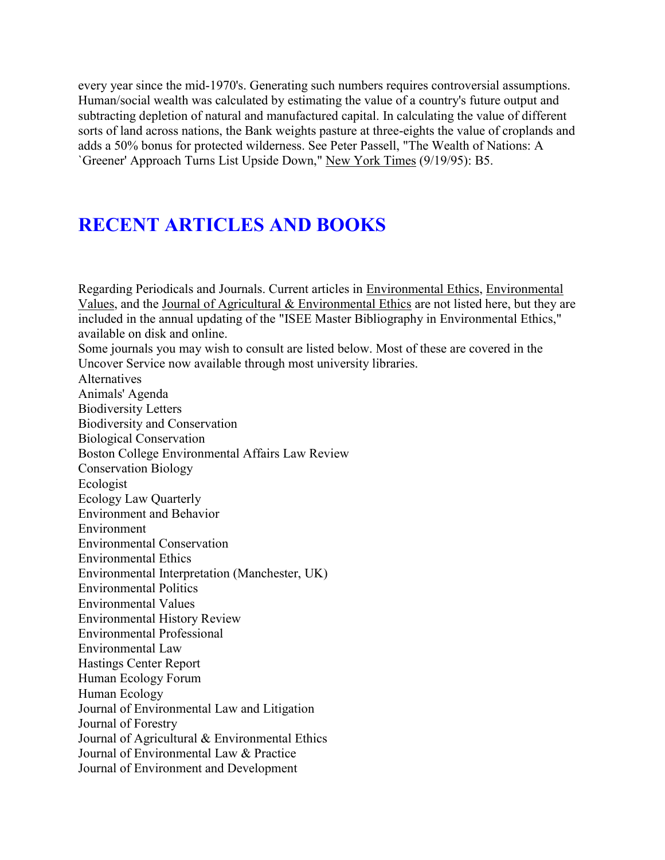every year since the mid-1970's. Generating such numbers requires controversial assumptions. Human/social wealth was calculated by estimating the value of a country's future output and subtracting depletion of natural and manufactured capital. In calculating the value of different sorts of land across nations, the Bank weights pasture at three-eights the value of croplands and adds a 50% bonus for protected wilderness. See Peter Passell, "The Wealth of Nations: A `Greener' Approach Turns List Upside Down," New York Times (9/19/95): B5.

# **RECENT ARTICLES AND BOOKS**

Regarding Periodicals and Journals. Current articles in Environmental Ethics, Environmental Values, and the Journal of Agricultural & Environmental Ethics are not listed here, but they are included in the annual updating of the "ISEE Master Bibliography in Environmental Ethics," available on disk and online. Some journals you may wish to consult are listed below. Most of these are covered in the Uncover Service now available through most university libraries. Alternatives Animals' Agenda Biodiversity Letters Biodiversity and Conservation Biological Conservation Boston College Environmental Affairs Law Review Conservation Biology Ecologist Ecology Law Quarterly Environment and Behavior Environment Environmental Conservation Environmental Ethics Environmental Interpretation (Manchester, UK) Environmental Politics Environmental Values Environmental History Review Environmental Professional Environmental Law Hastings Center Report Human Ecology Forum Human Ecology Journal of Environmental Law and Litigation Journal of Forestry Journal of Agricultural & Environmental Ethics Journal of Environmental Law & Practice Journal of Environment and Development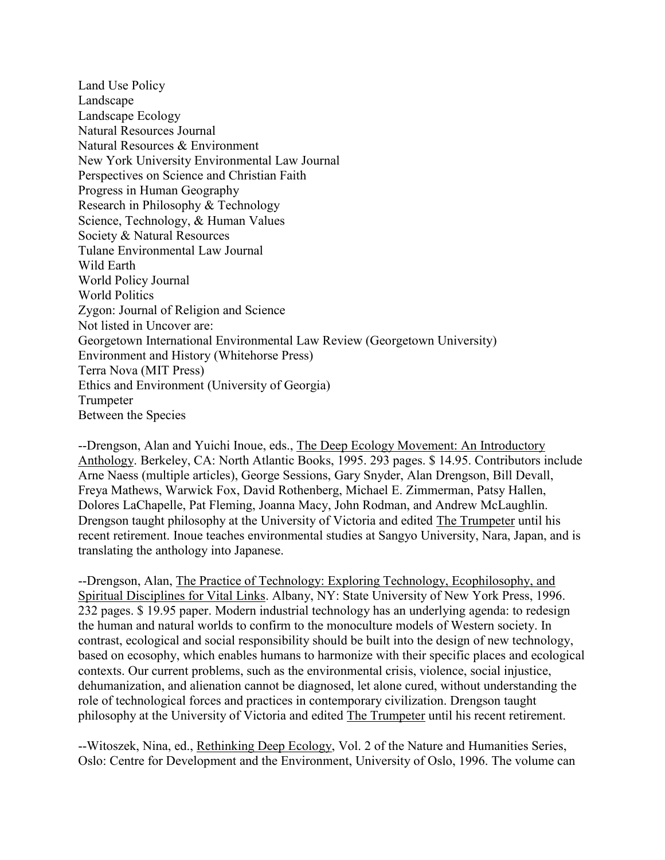Land Use Policy Landscape Landscape Ecology Natural Resources Journal Natural Resources & Environment New York University Environmental Law Journal Perspectives on Science and Christian Faith Progress in Human Geography Research in Philosophy & Technology Science, Technology, & Human Values Society & Natural Resources Tulane Environmental Law Journal Wild Earth World Policy Journal World Politics Zygon: Journal of Religion and Science Not listed in Uncover are: Georgetown International Environmental Law Review (Georgetown University) Environment and History (Whitehorse Press) Terra Nova (MIT Press) Ethics and Environment (University of Georgia) Trumpeter Between the Species

--Drengson, Alan and Yuichi Inoue, eds., The Deep Ecology Movement: An Introductory Anthology. Berkeley, CA: North Atlantic Books, 1995. 293 pages. \$ 14.95. Contributors include Arne Naess (multiple articles), George Sessions, Gary Snyder, Alan Drengson, Bill Devall, Freya Mathews, Warwick Fox, David Rothenberg, Michael E. Zimmerman, Patsy Hallen, Dolores LaChapelle, Pat Fleming, Joanna Macy, John Rodman, and Andrew McLaughlin. Drengson taught philosophy at the University of Victoria and edited The Trumpeter until his recent retirement. Inoue teaches environmental studies at Sangyo University, Nara, Japan, and is translating the anthology into Japanese.

--Drengson, Alan, The Practice of Technology: Exploring Technology, Ecophilosophy, and Spiritual Disciplines for Vital Links. Albany, NY: State University of New York Press, 1996. 232 pages. \$ 19.95 paper. Modern industrial technology has an underlying agenda: to redesign the human and natural worlds to confirm to the monoculture models of Western society. In contrast, ecological and social responsibility should be built into the design of new technology, based on ecosophy, which enables humans to harmonize with their specific places and ecological contexts. Our current problems, such as the environmental crisis, violence, social injustice, dehumanization, and alienation cannot be diagnosed, let alone cured, without understanding the role of technological forces and practices in contemporary civilization. Drengson taught philosophy at the University of Victoria and edited The Trumpeter until his recent retirement.

--Witoszek, Nina, ed., Rethinking Deep Ecology, Vol. 2 of the Nature and Humanities Series, Oslo: Centre for Development and the Environment, University of Oslo, 1996. The volume can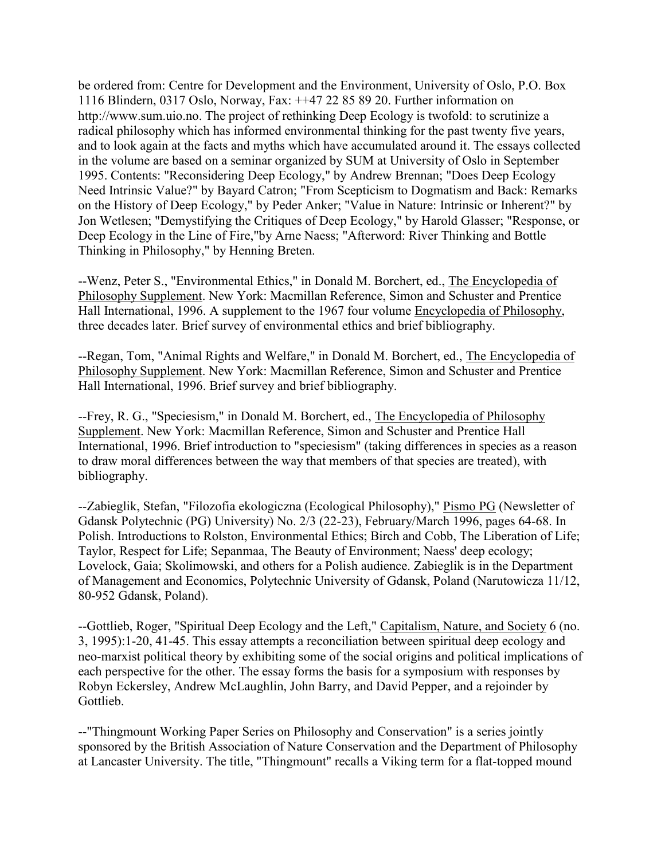be ordered from: Centre for Development and the Environment, University of Oslo, P.O. Box 1116 Blindern, 0317 Oslo, Norway, Fax: ++47 22 85 89 20. Further information on http://www.sum.uio.no. The project of rethinking Deep Ecology is twofold: to scrutinize a radical philosophy which has informed environmental thinking for the past twenty five years, and to look again at the facts and myths which have accumulated around it. The essays collected in the volume are based on a seminar organized by SUM at University of Oslo in September 1995. Contents: "Reconsidering Deep Ecology," by Andrew Brennan; "Does Deep Ecology Need Intrinsic Value?" by Bayard Catron; "From Scepticism to Dogmatism and Back: Remarks on the History of Deep Ecology," by Peder Anker; "Value in Nature: Intrinsic or Inherent?" by Jon Wetlesen; "Demystifying the Critiques of Deep Ecology," by Harold Glasser; "Response, or Deep Ecology in the Line of Fire,"by Arne Naess; "Afterword: River Thinking and Bottle Thinking in Philosophy," by Henning Breten.

--Wenz, Peter S., "Environmental Ethics," in Donald M. Borchert, ed., The Encyclopedia of Philosophy Supplement. New York: Macmillan Reference, Simon and Schuster and Prentice Hall International, 1996. A supplement to the 1967 four volume Encyclopedia of Philosophy, three decades later. Brief survey of environmental ethics and brief bibliography.

--Regan, Tom, "Animal Rights and Welfare," in Donald M. Borchert, ed., The Encyclopedia of Philosophy Supplement. New York: Macmillan Reference, Simon and Schuster and Prentice Hall International, 1996. Brief survey and brief bibliography.

--Frey, R. G., "Speciesism," in Donald M. Borchert, ed., The Encyclopedia of Philosophy Supplement. New York: Macmillan Reference, Simon and Schuster and Prentice Hall International, 1996. Brief introduction to "speciesism" (taking differences in species as a reason to draw moral differences between the way that members of that species are treated), with bibliography.

--Zabieglik, Stefan, "Filozofia ekologiczna (Ecological Philosophy)," Pismo PG (Newsletter of Gdansk Polytechnic (PG) University) No. 2/3 (22-23), February/March 1996, pages 64-68. In Polish. Introductions to Rolston, Environmental Ethics; Birch and Cobb, The Liberation of Life; Taylor, Respect for Life; Sepanmaa, The Beauty of Environment; Naess' deep ecology; Lovelock, Gaia; Skolimowski, and others for a Polish audience. Zabieglik is in the Department of Management and Economics, Polytechnic University of Gdansk, Poland (Narutowicza 11/12, 80-952 Gdansk, Poland).

--Gottlieb, Roger, "Spiritual Deep Ecology and the Left," Capitalism, Nature, and Society 6 (no. 3, 1995):1-20, 41-45. This essay attempts a reconciliation between spiritual deep ecology and neo-marxist political theory by exhibiting some of the social origins and political implications of each perspective for the other. The essay forms the basis for a symposium with responses by Robyn Eckersley, Andrew McLaughlin, John Barry, and David Pepper, and a rejoinder by Gottlieb.

--"Thingmount Working Paper Series on Philosophy and Conservation" is a series jointly sponsored by the British Association of Nature Conservation and the Department of Philosophy at Lancaster University. The title, "Thingmount" recalls a Viking term for a flat-topped mound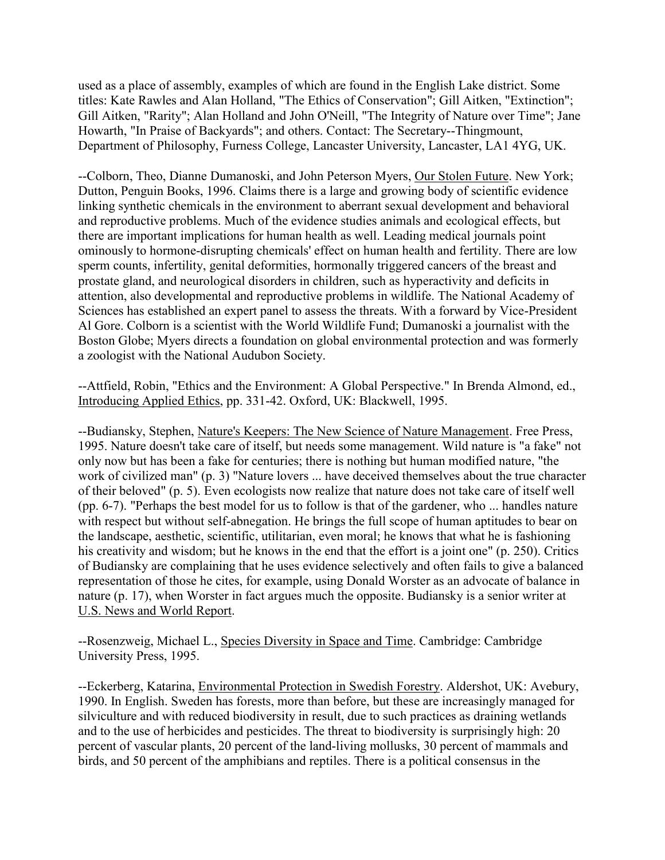used as a place of assembly, examples of which are found in the English Lake district. Some titles: Kate Rawles and Alan Holland, "The Ethics of Conservation"; Gill Aitken, "Extinction"; Gill Aitken, "Rarity"; Alan Holland and John O'Neill, "The Integrity of Nature over Time"; Jane Howarth, "In Praise of Backyards"; and others. Contact: The Secretary--Thingmount, Department of Philosophy, Furness College, Lancaster University, Lancaster, LA1 4YG, UK.

--Colborn, Theo, Dianne Dumanoski, and John Peterson Myers, Our Stolen Future. New York; Dutton, Penguin Books, 1996. Claims there is a large and growing body of scientific evidence linking synthetic chemicals in the environment to aberrant sexual development and behavioral and reproductive problems. Much of the evidence studies animals and ecological effects, but there are important implications for human health as well. Leading medical journals point ominously to hormone-disrupting chemicals' effect on human health and fertility. There are low sperm counts, infertility, genital deformities, hormonally triggered cancers of the breast and prostate gland, and neurological disorders in children, such as hyperactivity and deficits in attention, also developmental and reproductive problems in wildlife. The National Academy of Sciences has established an expert panel to assess the threats. With a forward by Vice-President Al Gore. Colborn is a scientist with the World Wildlife Fund; Dumanoski a journalist with the Boston Globe; Myers directs a foundation on global environmental protection and was formerly a zoologist with the National Audubon Society.

--Attfield, Robin, "Ethics and the Environment: A Global Perspective." In Brenda Almond, ed., Introducing Applied Ethics, pp. 331-42. Oxford, UK: Blackwell, 1995.

--Budiansky, Stephen, Nature's Keepers: The New Science of Nature Management. Free Press, 1995. Nature doesn't take care of itself, but needs some management. Wild nature is "a fake" not only now but has been a fake for centuries; there is nothing but human modified nature, "the work of civilized man" (p. 3) "Nature lovers ... have deceived themselves about the true character of their beloved" (p. 5). Even ecologists now realize that nature does not take care of itself well (pp. 6-7). "Perhaps the best model for us to follow is that of the gardener, who ... handles nature with respect but without self-abnegation. He brings the full scope of human aptitudes to bear on the landscape, aesthetic, scientific, utilitarian, even moral; he knows that what he is fashioning his creativity and wisdom; but he knows in the end that the effort is a joint one" (p. 250). Critics of Budiansky are complaining that he uses evidence selectively and often fails to give a balanced representation of those he cites, for example, using Donald Worster as an advocate of balance in nature (p. 17), when Worster in fact argues much the opposite. Budiansky is a senior writer at U.S. News and World Report.

--Rosenzweig, Michael L., Species Diversity in Space and Time. Cambridge: Cambridge University Press, 1995.

--Eckerberg, Katarina, Environmental Protection in Swedish Forestry. Aldershot, UK: Avebury, 1990. In English. Sweden has forests, more than before, but these are increasingly managed for silviculture and with reduced biodiversity in result, due to such practices as draining wetlands and to the use of herbicides and pesticides. The threat to biodiversity is surprisingly high: 20 percent of vascular plants, 20 percent of the land-living mollusks, 30 percent of mammals and birds, and 50 percent of the amphibians and reptiles. There is a political consensus in the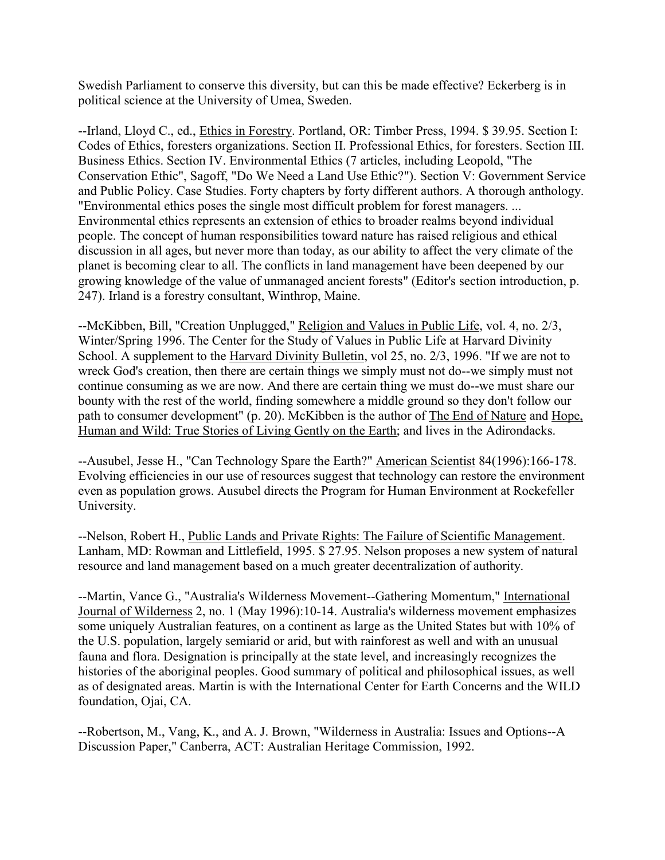Swedish Parliament to conserve this diversity, but can this be made effective? Eckerberg is in political science at the University of Umea, Sweden.

--Irland, Lloyd C., ed., Ethics in Forestry. Portland, OR: Timber Press, 1994. \$ 39.95. Section I: Codes of Ethics, foresters organizations. Section II. Professional Ethics, for foresters. Section III. Business Ethics. Section IV. Environmental Ethics (7 articles, including Leopold, "The Conservation Ethic", Sagoff, "Do We Need a Land Use Ethic?"). Section V: Government Service and Public Policy. Case Studies. Forty chapters by forty different authors. A thorough anthology. "Environmental ethics poses the single most difficult problem for forest managers. ... Environmental ethics represents an extension of ethics to broader realms beyond individual people. The concept of human responsibilities toward nature has raised religious and ethical discussion in all ages, but never more than today, as our ability to affect the very climate of the planet is becoming clear to all. The conflicts in land management have been deepened by our growing knowledge of the value of unmanaged ancient forests" (Editor's section introduction, p. 247). Irland is a forestry consultant, Winthrop, Maine.

--McKibben, Bill, "Creation Unplugged," Religion and Values in Public Life, vol. 4, no. 2/3, Winter/Spring 1996. The Center for the Study of Values in Public Life at Harvard Divinity School. A supplement to the Harvard Divinity Bulletin, vol 25, no. 2/3, 1996. "If we are not to wreck God's creation, then there are certain things we simply must not do--we simply must not continue consuming as we are now. And there are certain thing we must do--we must share our bounty with the rest of the world, finding somewhere a middle ground so they don't follow our path to consumer development" (p. 20). McKibben is the author of The End of Nature and Hope, Human and Wild: True Stories of Living Gently on the Earth; and lives in the Adirondacks.

--Ausubel, Jesse H., "Can Technology Spare the Earth?" American Scientist 84(1996):166-178. Evolving efficiencies in our use of resources suggest that technology can restore the environment even as population grows. Ausubel directs the Program for Human Environment at Rockefeller University.

--Nelson, Robert H., Public Lands and Private Rights: The Failure of Scientific Management. Lanham, MD: Rowman and Littlefield, 1995. \$ 27.95. Nelson proposes a new system of natural resource and land management based on a much greater decentralization of authority.

--Martin, Vance G., "Australia's Wilderness Movement--Gathering Momentum," International Journal of Wilderness 2, no. 1 (May 1996):10-14. Australia's wilderness movement emphasizes some uniquely Australian features, on a continent as large as the United States but with 10% of the U.S. population, largely semiarid or arid, but with rainforest as well and with an unusual fauna and flora. Designation is principally at the state level, and increasingly recognizes the histories of the aboriginal peoples. Good summary of political and philosophical issues, as well as of designated areas. Martin is with the International Center for Earth Concerns and the WILD foundation, Ojai, CA.

--Robertson, M., Vang, K., and A. J. Brown, "Wilderness in Australia: Issues and Options--A Discussion Paper," Canberra, ACT: Australian Heritage Commission, 1992.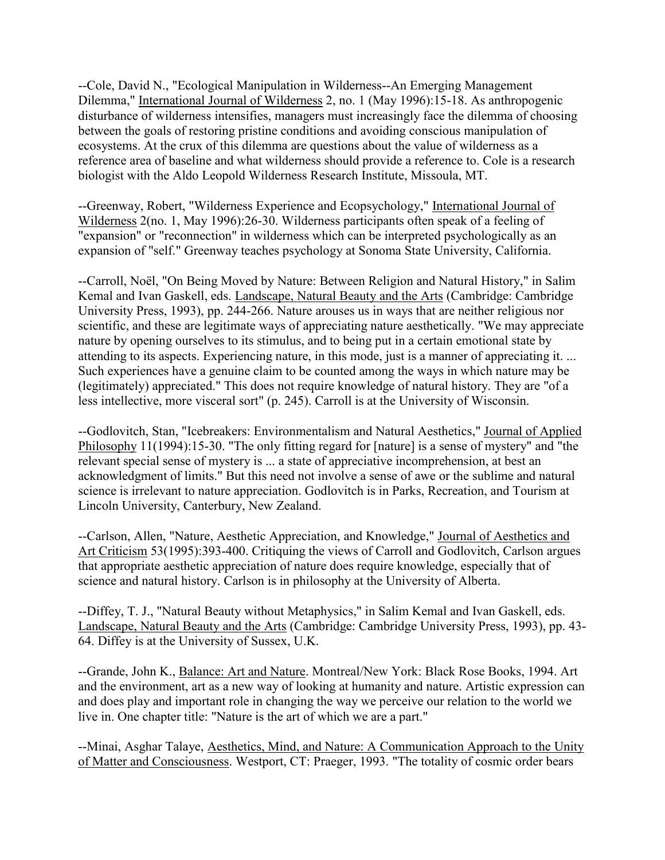--Cole, David N., "Ecological Manipulation in Wilderness--An Emerging Management Dilemma," International Journal of Wilderness 2, no. 1 (May 1996):15-18. As anthropogenic disturbance of wilderness intensifies, managers must increasingly face the dilemma of choosing between the goals of restoring pristine conditions and avoiding conscious manipulation of ecosystems. At the crux of this dilemma are questions about the value of wilderness as a reference area of baseline and what wilderness should provide a reference to. Cole is a research biologist with the Aldo Leopold Wilderness Research Institute, Missoula, MT.

--Greenway, Robert, "Wilderness Experience and Ecopsychology," International Journal of Wilderness 2(no. 1, May 1996):26-30. Wilderness participants often speak of a feeling of "expansion" or "reconnection" in wilderness which can be interpreted psychologically as an expansion of "self." Greenway teaches psychology at Sonoma State University, California.

--Carroll, Noël, "On Being Moved by Nature: Between Religion and Natural History," in Salim Kemal and Ivan Gaskell, eds. Landscape, Natural Beauty and the Arts (Cambridge: Cambridge University Press, 1993), pp. 244-266. Nature arouses us in ways that are neither religious nor scientific, and these are legitimate ways of appreciating nature aesthetically. "We may appreciate nature by opening ourselves to its stimulus, and to being put in a certain emotional state by attending to its aspects. Experiencing nature, in this mode, just is a manner of appreciating it. ... Such experiences have a genuine claim to be counted among the ways in which nature may be (legitimately) appreciated." This does not require knowledge of natural history. They are "of a less intellective, more visceral sort" (p. 245). Carroll is at the University of Wisconsin.

--Godlovitch, Stan, "Icebreakers: Environmentalism and Natural Aesthetics," Journal of Applied Philosophy 11(1994):15-30. "The only fitting regard for [nature] is a sense of mystery" and "the relevant special sense of mystery is ... a state of appreciative incomprehension, at best an acknowledgment of limits." But this need not involve a sense of awe or the sublime and natural science is irrelevant to nature appreciation. Godlovitch is in Parks, Recreation, and Tourism at Lincoln University, Canterbury, New Zealand.

--Carlson, Allen, "Nature, Aesthetic Appreciation, and Knowledge," Journal of Aesthetics and Art Criticism 53(1995):393-400. Critiquing the views of Carroll and Godlovitch, Carlson argues that appropriate aesthetic appreciation of nature does require knowledge, especially that of science and natural history. Carlson is in philosophy at the University of Alberta.

--Diffey, T. J., "Natural Beauty without Metaphysics," in Salim Kemal and Ivan Gaskell, eds. Landscape, Natural Beauty and the Arts (Cambridge: Cambridge University Press, 1993), pp. 43- 64. Diffey is at the University of Sussex, U.K.

--Grande, John K., Balance: Art and Nature. Montreal/New York: Black Rose Books, 1994. Art and the environment, art as a new way of looking at humanity and nature. Artistic expression can and does play and important role in changing the way we perceive our relation to the world we live in. One chapter title: "Nature is the art of which we are a part."

--Minai, Asghar Talaye, Aesthetics, Mind, and Nature: A Communication Approach to the Unity of Matter and Consciousness. Westport, CT: Praeger, 1993. "The totality of cosmic order bears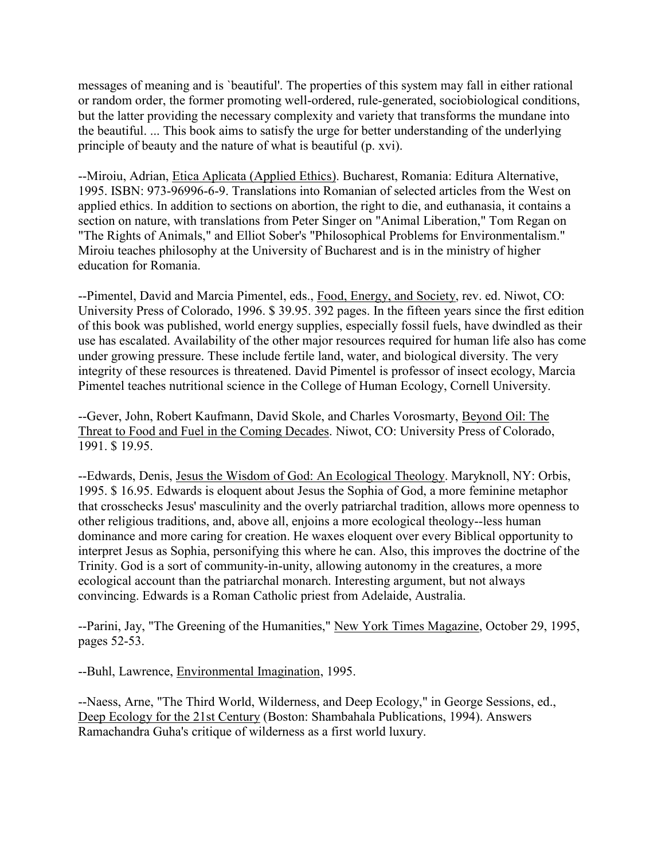messages of meaning and is `beautiful'. The properties of this system may fall in either rational or random order, the former promoting well-ordered, rule-generated, sociobiological conditions, but the latter providing the necessary complexity and variety that transforms the mundane into the beautiful. ... This book aims to satisfy the urge for better understanding of the underlying principle of beauty and the nature of what is beautiful (p. xvi).

--Miroiu, Adrian, Etica Aplicata (Applied Ethics). Bucharest, Romania: Editura Alternative, 1995. ISBN: 973-96996-6-9. Translations into Romanian of selected articles from the West on applied ethics. In addition to sections on abortion, the right to die, and euthanasia, it contains a section on nature, with translations from Peter Singer on "Animal Liberation," Tom Regan on "The Rights of Animals," and Elliot Sober's "Philosophical Problems for Environmentalism." Miroiu teaches philosophy at the University of Bucharest and is in the ministry of higher education for Romania.

--Pimentel, David and Marcia Pimentel, eds., Food, Energy, and Society, rev. ed. Niwot, CO: University Press of Colorado, 1996. \$ 39.95. 392 pages. In the fifteen years since the first edition of this book was published, world energy supplies, especially fossil fuels, have dwindled as their use has escalated. Availability of the other major resources required for human life also has come under growing pressure. These include fertile land, water, and biological diversity. The very integrity of these resources is threatened. David Pimentel is professor of insect ecology, Marcia Pimentel teaches nutritional science in the College of Human Ecology, Cornell University.

--Gever, John, Robert Kaufmann, David Skole, and Charles Vorosmarty, Beyond Oil: The Threat to Food and Fuel in the Coming Decades. Niwot, CO: University Press of Colorado, 1991. \$ 19.95.

--Edwards, Denis, Jesus the Wisdom of God: An Ecological Theology. Maryknoll, NY: Orbis, 1995. \$ 16.95. Edwards is eloquent about Jesus the Sophia of God, a more feminine metaphor that crosschecks Jesus' masculinity and the overly patriarchal tradition, allows more openness to other religious traditions, and, above all, enjoins a more ecological theology--less human dominance and more caring for creation. He waxes eloquent over every Biblical opportunity to interpret Jesus as Sophia, personifying this where he can. Also, this improves the doctrine of the Trinity. God is a sort of community-in-unity, allowing autonomy in the creatures, a more ecological account than the patriarchal monarch. Interesting argument, but not always convincing. Edwards is a Roman Catholic priest from Adelaide, Australia.

--Parini, Jay, "The Greening of the Humanities," New York Times Magazine, October 29, 1995, pages 52-53.

--Buhl, Lawrence, Environmental Imagination, 1995.

--Naess, Arne, "The Third World, Wilderness, and Deep Ecology," in George Sessions, ed., Deep Ecology for the 21st Century (Boston: Shambahala Publications, 1994). Answers Ramachandra Guha's critique of wilderness as a first world luxury.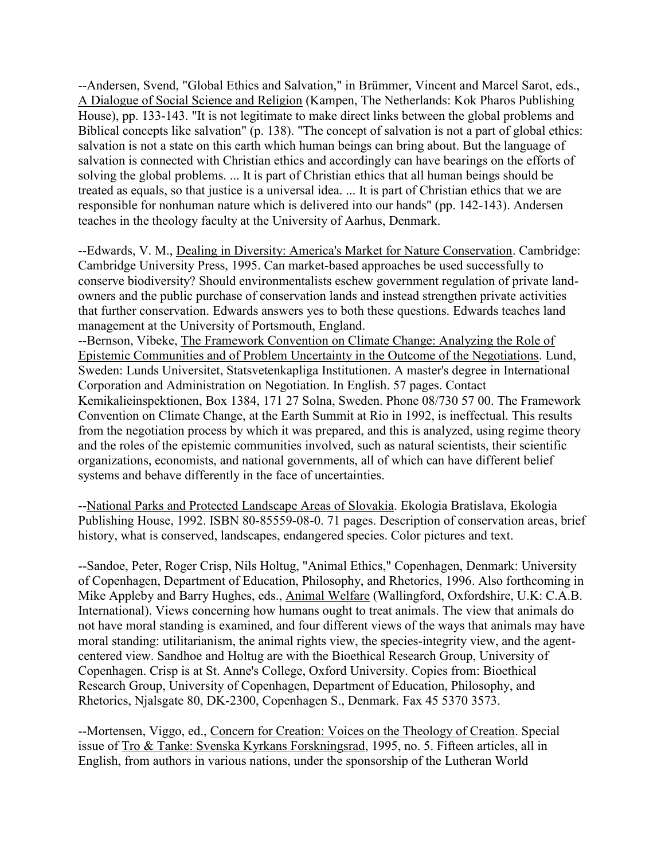--Andersen, Svend, "Global Ethics and Salvation," in Brümmer, Vincent and Marcel Sarot, eds., A Dialogue of Social Science and Religion (Kampen, The Netherlands: Kok Pharos Publishing House), pp. 133-143. "It is not legitimate to make direct links between the global problems and Biblical concepts like salvation" (p. 138). "The concept of salvation is not a part of global ethics: salvation is not a state on this earth which human beings can bring about. But the language of salvation is connected with Christian ethics and accordingly can have bearings on the efforts of solving the global problems. ... It is part of Christian ethics that all human beings should be treated as equals, so that justice is a universal idea. ... It is part of Christian ethics that we are responsible for nonhuman nature which is delivered into our hands" (pp. 142-143). Andersen teaches in the theology faculty at the University of Aarhus, Denmark.

--Edwards, V. M., Dealing in Diversity: America's Market for Nature Conservation. Cambridge: Cambridge University Press, 1995. Can market-based approaches be used successfully to conserve biodiversity? Should environmentalists eschew government regulation of private landowners and the public purchase of conservation lands and instead strengthen private activities that further conservation. Edwards answers yes to both these questions. Edwards teaches land management at the University of Portsmouth, England.

--Bernson, Vibeke, The Framework Convention on Climate Change: Analyzing the Role of Epistemic Communities and of Problem Uncertainty in the Outcome of the Negotiations. Lund, Sweden: Lunds Universitet, Statsvetenkapliga Institutionen. A master's degree in International Corporation and Administration on Negotiation. In English. 57 pages. Contact Kemikalieinspektionen, Box 1384, 171 27 Solna, Sweden. Phone 08/730 57 00. The Framework Convention on Climate Change, at the Earth Summit at Rio in 1992, is ineffectual. This results from the negotiation process by which it was prepared, and this is analyzed, using regime theory and the roles of the epistemic communities involved, such as natural scientists, their scientific organizations, economists, and national governments, all of which can have different belief systems and behave differently in the face of uncertainties.

--National Parks and Protected Landscape Areas of Slovakia. Ekologia Bratislava, Ekologia Publishing House, 1992. ISBN 80-85559-08-0. 71 pages. Description of conservation areas, brief history, what is conserved, landscapes, endangered species. Color pictures and text.

--Sandoe, Peter, Roger Crisp, Nils Holtug, "Animal Ethics," Copenhagen, Denmark: University of Copenhagen, Department of Education, Philosophy, and Rhetorics, 1996. Also forthcoming in Mike Appleby and Barry Hughes, eds., Animal Welfare (Wallingford, Oxfordshire, U.K: C.A.B. International). Views concerning how humans ought to treat animals. The view that animals do not have moral standing is examined, and four different views of the ways that animals may have moral standing: utilitarianism, the animal rights view, the species-integrity view, and the agentcentered view. Sandhoe and Holtug are with the Bioethical Research Group, University of Copenhagen. Crisp is at St. Anne's College, Oxford University. Copies from: Bioethical Research Group, University of Copenhagen, Department of Education, Philosophy, and Rhetorics, Njalsgate 80, DK-2300, Copenhagen S., Denmark. Fax 45 5370 3573.

--Mortensen, Viggo, ed., Concern for Creation: Voices on the Theology of Creation. Special issue of Tro & Tanke: Svenska Kyrkans Forskningsrad, 1995, no. 5. Fifteen articles, all in English, from authors in various nations, under the sponsorship of the Lutheran World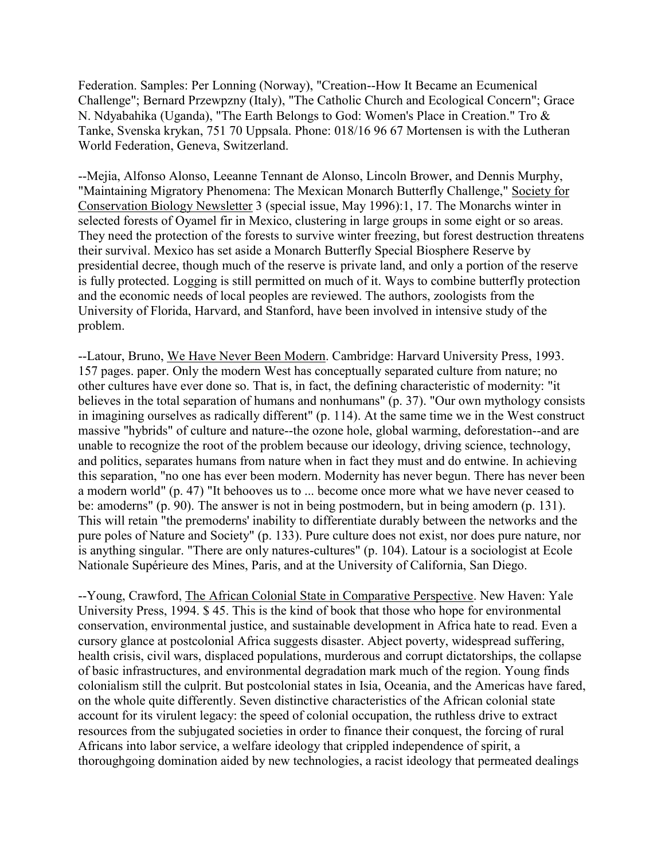Federation. Samples: Per Lonning (Norway), "Creation--How It Became an Ecumenical Challenge"; Bernard Przewpzny (Italy), "The Catholic Church and Ecological Concern"; Grace N. Ndyabahika (Uganda), "The Earth Belongs to God: Women's Place in Creation." Tro & Tanke, Svenska krykan, 751 70 Uppsala. Phone: 018/16 96 67 Mortensen is with the Lutheran World Federation, Geneva, Switzerland.

--Mejia, Alfonso Alonso, Leeanne Tennant de Alonso, Lincoln Brower, and Dennis Murphy, "Maintaining Migratory Phenomena: The Mexican Monarch Butterfly Challenge," Society for Conservation Biology Newsletter 3 (special issue, May 1996):1, 17. The Monarchs winter in selected forests of Oyamel fir in Mexico, clustering in large groups in some eight or so areas. They need the protection of the forests to survive winter freezing, but forest destruction threatens their survival. Mexico has set aside a Monarch Butterfly Special Biosphere Reserve by presidential decree, though much of the reserve is private land, and only a portion of the reserve is fully protected. Logging is still permitted on much of it. Ways to combine butterfly protection and the economic needs of local peoples are reviewed. The authors, zoologists from the University of Florida, Harvard, and Stanford, have been involved in intensive study of the problem.

--Latour, Bruno, We Have Never Been Modern. Cambridge: Harvard University Press, 1993. 157 pages. paper. Only the modern West has conceptually separated culture from nature; no other cultures have ever done so. That is, in fact, the defining characteristic of modernity: "it believes in the total separation of humans and nonhumans" (p. 37). "Our own mythology consists in imagining ourselves as radically different" (p. 114). At the same time we in the West construct massive "hybrids" of culture and nature--the ozone hole, global warming, deforestation--and are unable to recognize the root of the problem because our ideology, driving science, technology, and politics, separates humans from nature when in fact they must and do entwine. In achieving this separation, "no one has ever been modern. Modernity has never begun. There has never been a modern world" (p. 47) "It behooves us to ... become once more what we have never ceased to be: amoderns" (p. 90). The answer is not in being postmodern, but in being amodern (p. 131). This will retain "the premoderns' inability to differentiate durably between the networks and the pure poles of Nature and Society" (p. 133). Pure culture does not exist, nor does pure nature, nor is anything singular. "There are only natures-cultures" (p. 104). Latour is a sociologist at Ecole Nationale Supérieure des Mines, Paris, and at the University of California, San Diego.

--Young, Crawford, The African Colonial State in Comparative Perspective. New Haven: Yale University Press, 1994. \$ 45. This is the kind of book that those who hope for environmental conservation, environmental justice, and sustainable development in Africa hate to read. Even a cursory glance at postcolonial Africa suggests disaster. Abject poverty, widespread suffering, health crisis, civil wars, displaced populations, murderous and corrupt dictatorships, the collapse of basic infrastructures, and environmental degradation mark much of the region. Young finds colonialism still the culprit. But postcolonial states in Isia, Oceania, and the Americas have fared, on the whole quite differently. Seven distinctive characteristics of the African colonial state account for its virulent legacy: the speed of colonial occupation, the ruthless drive to extract resources from the subjugated societies in order to finance their conquest, the forcing of rural Africans into labor service, a welfare ideology that crippled independence of spirit, a thoroughgoing domination aided by new technologies, a racist ideology that permeated dealings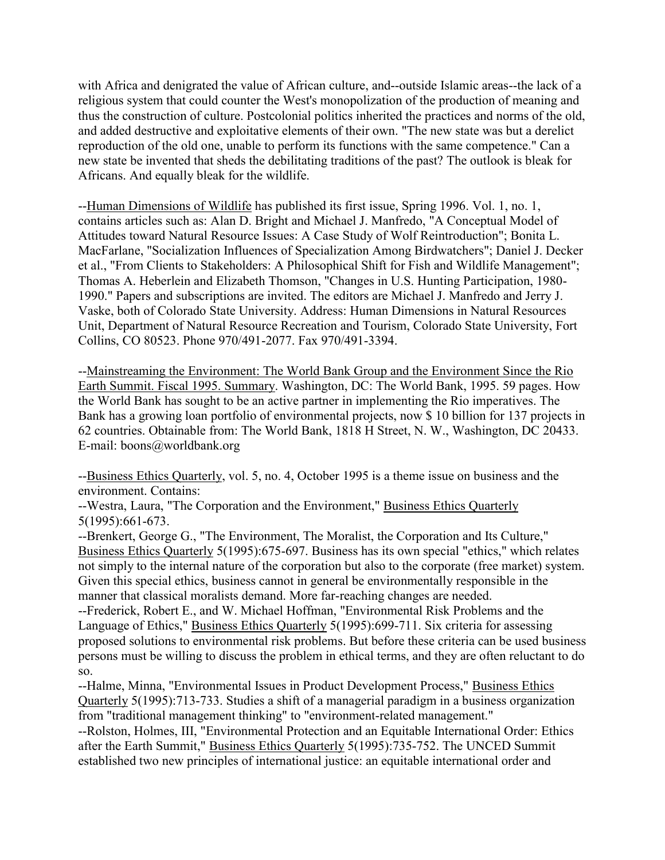with Africa and denigrated the value of African culture, and--outside Islamic areas--the lack of a religious system that could counter the West's monopolization of the production of meaning and thus the construction of culture. Postcolonial politics inherited the practices and norms of the old, and added destructive and exploitative elements of their own. "The new state was but a derelict reproduction of the old one, unable to perform its functions with the same competence." Can a new state be invented that sheds the debilitating traditions of the past? The outlook is bleak for Africans. And equally bleak for the wildlife.

--Human Dimensions of Wildlife has published its first issue, Spring 1996. Vol. 1, no. 1, contains articles such as: Alan D. Bright and Michael J. Manfredo, "A Conceptual Model of Attitudes toward Natural Resource Issues: A Case Study of Wolf Reintroduction"; Bonita L. MacFarlane, "Socialization Influences of Specialization Among Birdwatchers"; Daniel J. Decker et al., "From Clients to Stakeholders: A Philosophical Shift for Fish and Wildlife Management"; Thomas A. Heberlein and Elizabeth Thomson, "Changes in U.S. Hunting Participation, 1980- 1990." Papers and subscriptions are invited. The editors are Michael J. Manfredo and Jerry J. Vaske, both of Colorado State University. Address: Human Dimensions in Natural Resources Unit, Department of Natural Resource Recreation and Tourism, Colorado State University, Fort Collins, CO 80523. Phone 970/491-2077. Fax 970/491-3394.

--Mainstreaming the Environment: The World Bank Group and the Environment Since the Rio Earth Summit. Fiscal 1995. Summary. Washington, DC: The World Bank, 1995. 59 pages. How the World Bank has sought to be an active partner in implementing the Rio imperatives. The Bank has a growing loan portfolio of environmental projects, now \$ 10 billion for 137 projects in 62 countries. Obtainable from: The World Bank, 1818 H Street, N. W., Washington, DC 20433. E-mail: boons@worldbank.org

--Business Ethics Quarterly, vol. 5, no. 4, October 1995 is a theme issue on business and the environment. Contains:

--Westra, Laura, "The Corporation and the Environment," Business Ethics Quarterly 5(1995):661-673.

--Brenkert, George G., "The Environment, The Moralist, the Corporation and Its Culture," Business Ethics Quarterly 5(1995):675-697. Business has its own special "ethics," which relates not simply to the internal nature of the corporation but also to the corporate (free market) system. Given this special ethics, business cannot in general be environmentally responsible in the manner that classical moralists demand. More far-reaching changes are needed.

--Frederick, Robert E., and W. Michael Hoffman, "Environmental Risk Problems and the Language of Ethics," Business Ethics Quarterly 5(1995):699-711. Six criteria for assessing proposed solutions to environmental risk problems. But before these criteria can be used business persons must be willing to discuss the problem in ethical terms, and they are often reluctant to do so.

--Halme, Minna, "Environmental Issues in Product Development Process," Business Ethics Quarterly 5(1995):713-733. Studies a shift of a managerial paradigm in a business organization from "traditional management thinking" to "environment-related management." --Rolston, Holmes, III, "Environmental Protection and an Equitable International Order: Ethics

after the Earth Summit," Business Ethics Quarterly 5(1995):735-752. The UNCED Summit established two new principles of international justice: an equitable international order and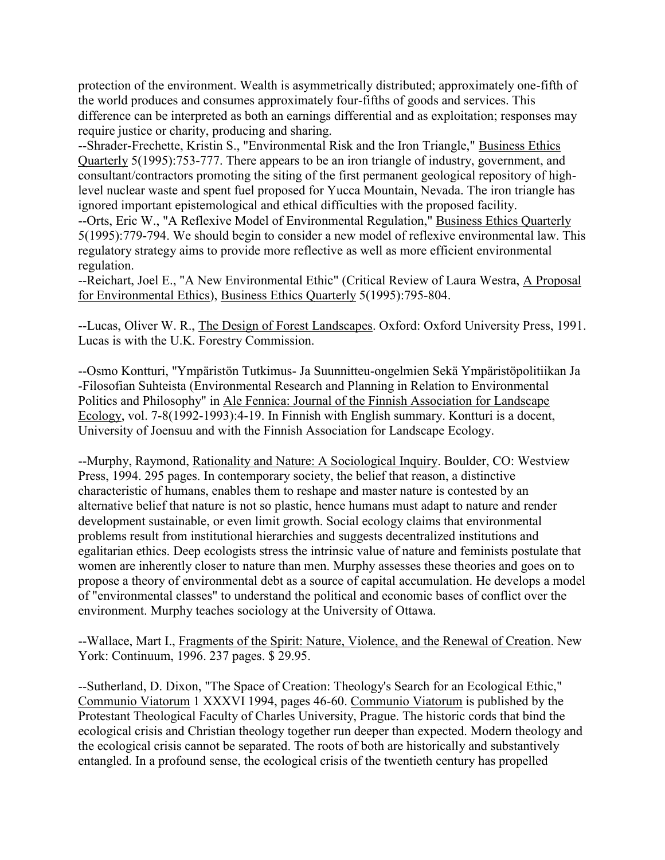protection of the environment. Wealth is asymmetrically distributed; approximately one-fifth of the world produces and consumes approximately four-fifths of goods and services. This difference can be interpreted as both an earnings differential and as exploitation; responses may require justice or charity, producing and sharing.

--Shrader-Frechette, Kristin S., "Environmental Risk and the Iron Triangle," Business Ethics Quarterly 5(1995):753-777. There appears to be an iron triangle of industry, government, and consultant/contractors promoting the siting of the first permanent geological repository of highlevel nuclear waste and spent fuel proposed for Yucca Mountain, Nevada. The iron triangle has ignored important epistemological and ethical difficulties with the proposed facility.

--Orts, Eric W., "A Reflexive Model of Environmental Regulation," Business Ethics Quarterly 5(1995):779-794. We should begin to consider a new model of reflexive environmental law. This regulatory strategy aims to provide more reflective as well as more efficient environmental regulation.

--Reichart, Joel E., "A New Environmental Ethic" (Critical Review of Laura Westra, A Proposal for Environmental Ethics), Business Ethics Quarterly 5(1995):795-804.

--Lucas, Oliver W. R., The Design of Forest Landscapes. Oxford: Oxford University Press, 1991. Lucas is with the U.K. Forestry Commission.

--Osmo Kontturi, "Ympäristön Tutkimus- Ja Suunnitteu-ongelmien Sekä Ympäristöpolitiikan Ja -Filosofian Suhteista (Environmental Research and Planning in Relation to Environmental Politics and Philosophy" in Ale Fennica: Journal of the Finnish Association for Landscape Ecology, vol. 7-8(1992-1993):4-19. In Finnish with English summary. Kontturi is a docent, University of Joensuu and with the Finnish Association for Landscape Ecology.

--Murphy, Raymond, Rationality and Nature: A Sociological Inquiry. Boulder, CO: Westview Press, 1994. 295 pages. In contemporary society, the belief that reason, a distinctive characteristic of humans, enables them to reshape and master nature is contested by an alternative belief that nature is not so plastic, hence humans must adapt to nature and render development sustainable, or even limit growth. Social ecology claims that environmental problems result from institutional hierarchies and suggests decentralized institutions and egalitarian ethics. Deep ecologists stress the intrinsic value of nature and feminists postulate that women are inherently closer to nature than men. Murphy assesses these theories and goes on to propose a theory of environmental debt as a source of capital accumulation. He develops a model of "environmental classes" to understand the political and economic bases of conflict over the environment. Murphy teaches sociology at the University of Ottawa.

--Wallace, Mart I., Fragments of the Spirit: Nature, Violence, and the Renewal of Creation. New York: Continuum, 1996. 237 pages. \$ 29.95.

--Sutherland, D. Dixon, "The Space of Creation: Theology's Search for an Ecological Ethic," Communio Viatorum 1 XXXVI 1994, pages 46-60. Communio Viatorum is published by the Protestant Theological Faculty of Charles University, Prague. The historic cords that bind the ecological crisis and Christian theology together run deeper than expected. Modern theology and the ecological crisis cannot be separated. The roots of both are historically and substantively entangled. In a profound sense, the ecological crisis of the twentieth century has propelled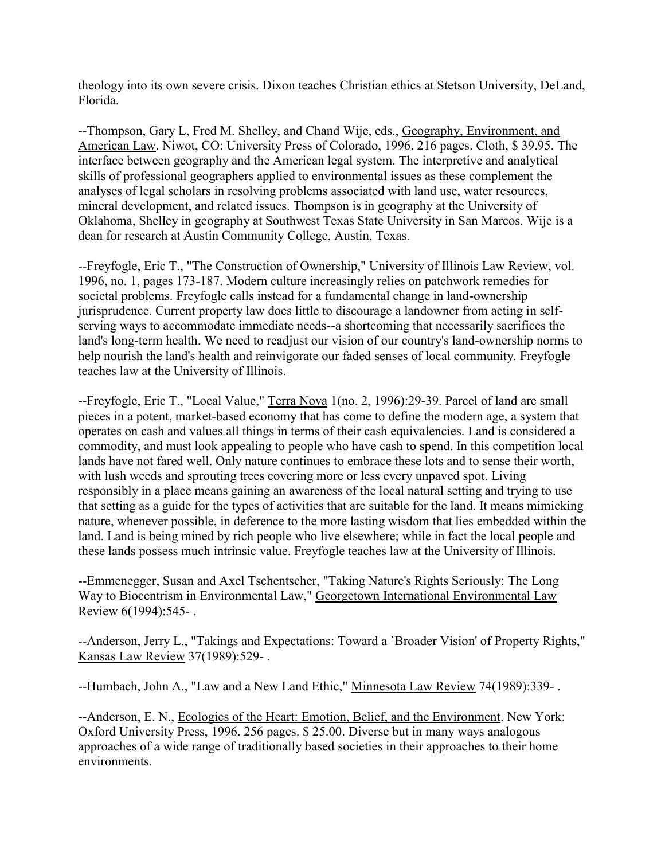theology into its own severe crisis. Dixon teaches Christian ethics at Stetson University, DeLand, Florida.

--Thompson, Gary L, Fred M. Shelley, and Chand Wije, eds., Geography, Environment, and American Law. Niwot, CO: University Press of Colorado, 1996. 216 pages. Cloth, \$ 39.95. The interface between geography and the American legal system. The interpretive and analytical skills of professional geographers applied to environmental issues as these complement the analyses of legal scholars in resolving problems associated with land use, water resources, mineral development, and related issues. Thompson is in geography at the University of Oklahoma, Shelley in geography at Southwest Texas State University in San Marcos. Wije is a dean for research at Austin Community College, Austin, Texas.

--Freyfogle, Eric T., "The Construction of Ownership," University of Illinois Law Review, vol. 1996, no. 1, pages 173-187. Modern culture increasingly relies on patchwork remedies for societal problems. Freyfogle calls instead for a fundamental change in land-ownership jurisprudence. Current property law does little to discourage a landowner from acting in selfserving ways to accommodate immediate needs--a shortcoming that necessarily sacrifices the land's long-term health. We need to readjust our vision of our country's land-ownership norms to help nourish the land's health and reinvigorate our faded senses of local community. Freyfogle teaches law at the University of Illinois.

--Freyfogle, Eric T., "Local Value," Terra Nova 1(no. 2, 1996):29-39. Parcel of land are small pieces in a potent, market-based economy that has come to define the modern age, a system that operates on cash and values all things in terms of their cash equivalencies. Land is considered a commodity, and must look appealing to people who have cash to spend. In this competition local lands have not fared well. Only nature continues to embrace these lots and to sense their worth, with lush weeds and sprouting trees covering more or less every unpaved spot. Living responsibly in a place means gaining an awareness of the local natural setting and trying to use that setting as a guide for the types of activities that are suitable for the land. It means mimicking nature, whenever possible, in deference to the more lasting wisdom that lies embedded within the land. Land is being mined by rich people who live elsewhere; while in fact the local people and these lands possess much intrinsic value. Freyfogle teaches law at the University of Illinois.

--Emmenegger, Susan and Axel Tschentscher, "Taking Nature's Rights Seriously: The Long Way to Biocentrism in Environmental Law," Georgetown International Environmental Law Review 6(1994):545- .

--Anderson, Jerry L., "Takings and Expectations: Toward a `Broader Vision' of Property Rights," Kansas Law Review 37(1989):529- .

--Humbach, John A., "Law and a New Land Ethic," Minnesota Law Review 74(1989):339- .

--Anderson, E. N., Ecologies of the Heart: Emotion, Belief, and the Environment. New York: Oxford University Press, 1996. 256 pages. \$ 25.00. Diverse but in many ways analogous approaches of a wide range of traditionally based societies in their approaches to their home environments.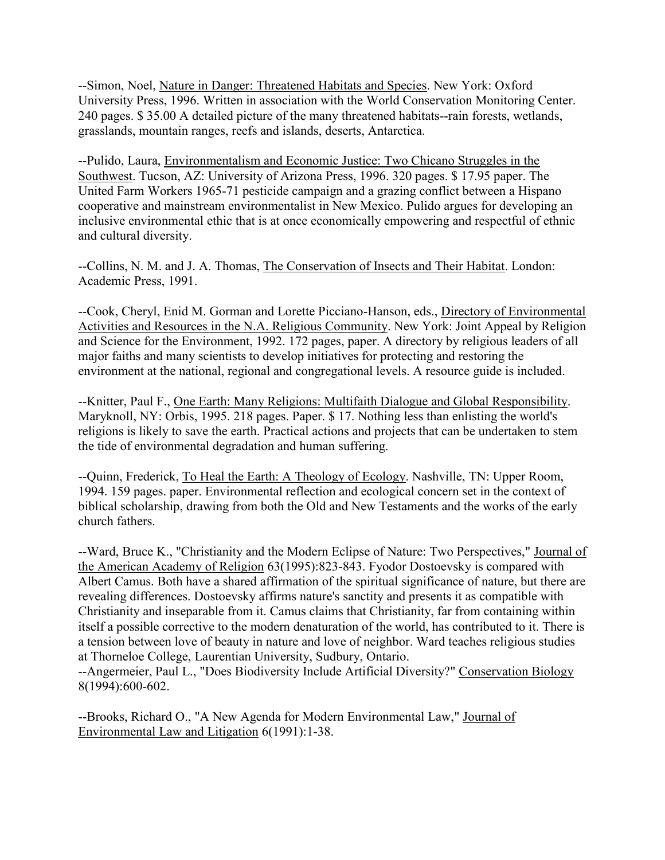--Simon, Noel, Nature in Danger: Threatened Habitats and Species. New York: Oxford University Press, 1996. Written in association with the World Conservation Monitoring Center. 240 pages. \$ 35.00 A detailed picture of the many threatened habitats--rain forests, wetlands, grasslands, mountain ranges, reefs and islands, deserts, Antarctica.

--Pulido, Laura, Environmentalism and Economic Justice: Two Chicano Struggles in the Southwest. Tucson, AZ: University of Arizona Press, 1996. 320 pages. \$ 17.95 paper. The United Farm Workers 1965-71 pesticide campaign and a grazing conflict between a Hispano cooperative and mainstream environmentalist in New Mexico. Pulido argues for developing an inclusive environmental ethic that is at once economically empowering and respectful of ethnic and cultural diversity.

--Collins, N. M. and J. A. Thomas, The Conservation of Insects and Their Habitat. London: Academic Press, 1991.

--Cook, Cheryl, Enid M. Gorman and Lorette Picciano-Hanson, eds., Directory of Environmental Activities and Resources in the N.A. Religious Community. New York: Joint Appeal by Religion and Science for the Environment, 1992. 172 pages, paper. A directory by religious leaders of all major faiths and many scientists to develop initiatives for protecting and restoring the environment at the national, regional and congregational levels. A resource guide is included.

--Knitter, Paul F., One Earth: Many Religions: Multifaith Dialogue and Global Responsibility. Maryknoll, NY: Orbis, 1995. 218 pages. Paper. \$ 17. Nothing less than enlisting the world's religions is likely to save the earth. Practical actions and projects that can be undertaken to stem the tide of environmental degradation and human suffering.

--Quinn, Frederick, To Heal the Earth: A Theology of Ecology. Nashville, TN: Upper Room, 1994. 159 pages. paper. Environmental reflection and ecological concern set in the context of biblical scholarship, drawing from both the Old and New Testaments and the works of the early church fathers.

--Ward, Bruce K., "Christianity and the Modern Eclipse of Nature: Two Perspectives," Journal of the American Academy of Religion 63(1995):823-843. Fyodor Dostoevsky is compared with Albert Camus. Both have a shared affirmation of the spiritual significance of nature, but there are revealing differences. Dostoevsky affirms nature's sanctity and presents it as compatible with Christianity and inseparable from it. Camus claims that Christianity, far from containing within itself a possible corrective to the modern denaturation of the world, has contributed to it. There is a tension between love of beauty in nature and love of neighbor. Ward teaches religious studies at Thorneloe College, Laurentian University, Sudbury, Ontario.

--Angermeier, Paul L., "Does Biodiversity Include Artificial Diversity?" Conservation Biology 8(1994):600-602.

--Brooks, Richard O., "A New Agenda for Modern Environmental Law," Journal of Environmental Law and Litigation 6(1991):1-38.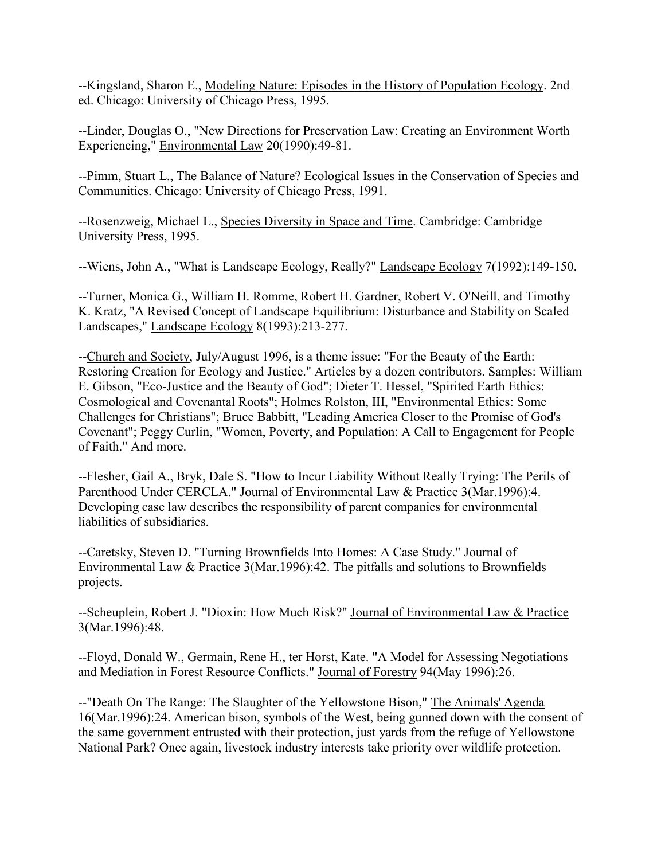--Kingsland, Sharon E., Modeling Nature: Episodes in the History of Population Ecology. 2nd ed. Chicago: University of Chicago Press, 1995.

--Linder, Douglas O., "New Directions for Preservation Law: Creating an Environment Worth Experiencing," Environmental Law 20(1990):49-81.

--Pimm, Stuart L., The Balance of Nature? Ecological Issues in the Conservation of Species and Communities. Chicago: University of Chicago Press, 1991.

--Rosenzweig, Michael L., Species Diversity in Space and Time. Cambridge: Cambridge University Press, 1995.

--Wiens, John A., "What is Landscape Ecology, Really?" Landscape Ecology 7(1992):149-150.

--Turner, Monica G., William H. Romme, Robert H. Gardner, Robert V. O'Neill, and Timothy K. Kratz, "A Revised Concept of Landscape Equilibrium: Disturbance and Stability on Scaled Landscapes," Landscape Ecology 8(1993):213-277.

--Church and Society, July/August 1996, is a theme issue: "For the Beauty of the Earth: Restoring Creation for Ecology and Justice." Articles by a dozen contributors. Samples: William E. Gibson, "Eco-Justice and the Beauty of God"; Dieter T. Hessel, "Spirited Earth Ethics: Cosmological and Covenantal Roots"; Holmes Rolston, III, "Environmental Ethics: Some Challenges for Christians"; Bruce Babbitt, "Leading America Closer to the Promise of God's Covenant"; Peggy Curlin, "Women, Poverty, and Population: A Call to Engagement for People of Faith." And more.

--Flesher, Gail A., Bryk, Dale S. "How to Incur Liability Without Really Trying: The Perils of Parenthood Under CERCLA." Journal of Environmental Law & Practice 3(Mar.1996):4. Developing case law describes the responsibility of parent companies for environmental liabilities of subsidiaries.

--Caretsky, Steven D. "Turning Brownfields Into Homes: A Case Study." Journal of Environmental Law & Practice 3(Mar.1996):42. The pitfalls and solutions to Brownfields projects.

--Scheuplein, Robert J. "Dioxin: How Much Risk?" Journal of Environmental Law & Practice 3(Mar.1996):48.

--Floyd, Donald W., Germain, Rene H., ter Horst, Kate. "A Model for Assessing Negotiations and Mediation in Forest Resource Conflicts." Journal of Forestry 94(May 1996):26.

--"Death On The Range: The Slaughter of the Yellowstone Bison," The Animals' Agenda 16(Mar.1996):24. American bison, symbols of the West, being gunned down with the consent of the same government entrusted with their protection, just yards from the refuge of Yellowstone National Park? Once again, livestock industry interests take priority over wildlife protection.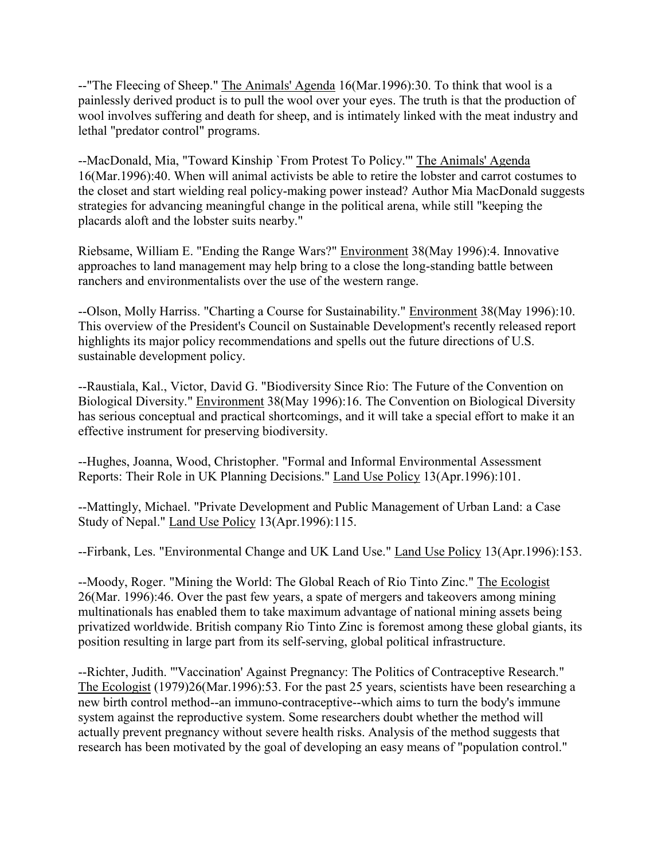--"The Fleecing of Sheep." The Animals' Agenda 16(Mar.1996):30. To think that wool is a painlessly derived product is to pull the wool over your eyes. The truth is that the production of wool involves suffering and death for sheep, and is intimately linked with the meat industry and lethal "predator control" programs.

--MacDonald, Mia, "Toward Kinship `From Protest To Policy." The Animals' Agenda 16(Mar.1996):40. When will animal activists be able to retire the lobster and carrot costumes to the closet and start wielding real policy-making power instead? Author Mia MacDonald suggests strategies for advancing meaningful change in the political arena, while still "keeping the placards aloft and the lobster suits nearby."

Riebsame, William E. "Ending the Range Wars?" Environment 38(May 1996):4. Innovative approaches to land management may help bring to a close the long-standing battle between ranchers and environmentalists over the use of the western range.

--Olson, Molly Harriss. "Charting a Course for Sustainability." Environment 38(May 1996):10. This overview of the President's Council on Sustainable Development's recently released report highlights its major policy recommendations and spells out the future directions of U.S. sustainable development policy.

--Raustiala, Kal., Victor, David G. "Biodiversity Since Rio: The Future of the Convention on Biological Diversity." Environment 38(May 1996):16. The Convention on Biological Diversity has serious conceptual and practical shortcomings, and it will take a special effort to make it an effective instrument for preserving biodiversity.

--Hughes, Joanna, Wood, Christopher. "Formal and Informal Environmental Assessment Reports: Their Role in UK Planning Decisions." Land Use Policy 13(Apr.1996):101.

--Mattingly, Michael. "Private Development and Public Management of Urban Land: a Case Study of Nepal." Land Use Policy 13(Apr.1996):115.

--Firbank, Les. "Environmental Change and UK Land Use." Land Use Policy 13(Apr.1996):153.

--Moody, Roger. "Mining the World: The Global Reach of Rio Tinto Zinc." The Ecologist 26(Mar. 1996):46. Over the past few years, a spate of mergers and takeovers among mining multinationals has enabled them to take maximum advantage of national mining assets being privatized worldwide. British company Rio Tinto Zinc is foremost among these global giants, its position resulting in large part from its self-serving, global political infrastructure.

--Richter, Judith. "'Vaccination' Against Pregnancy: The Politics of Contraceptive Research." The Ecologist (1979)26(Mar.1996):53. For the past 25 years, scientists have been researching a new birth control method--an immuno-contraceptive--which aims to turn the body's immune system against the reproductive system. Some researchers doubt whether the method will actually prevent pregnancy without severe health risks. Analysis of the method suggests that research has been motivated by the goal of developing an easy means of "population control."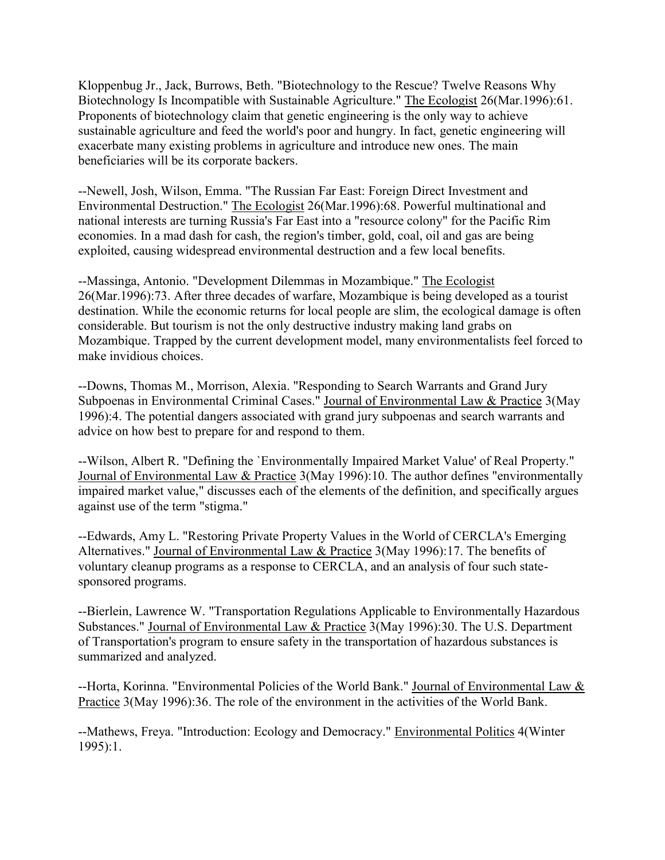Kloppenbug Jr., Jack, Burrows, Beth. "Biotechnology to the Rescue? Twelve Reasons Why Biotechnology Is Incompatible with Sustainable Agriculture." The Ecologist 26(Mar.1996):61. Proponents of biotechnology claim that genetic engineering is the only way to achieve sustainable agriculture and feed the world's poor and hungry. In fact, genetic engineering will exacerbate many existing problems in agriculture and introduce new ones. The main beneficiaries will be its corporate backers.

--Newell, Josh, Wilson, Emma. "The Russian Far East: Foreign Direct Investment and Environmental Destruction." The Ecologist 26(Mar.1996):68. Powerful multinational and national interests are turning Russia's Far East into a "resource colony" for the Pacific Rim economies. In a mad dash for cash, the region's timber, gold, coal, oil and gas are being exploited, causing widespread environmental destruction and a few local benefits.

--Massinga, Antonio. "Development Dilemmas in Mozambique." The Ecologist 26(Mar.1996):73. After three decades of warfare, Mozambique is being developed as a tourist destination. While the economic returns for local people are slim, the ecological damage is often considerable. But tourism is not the only destructive industry making land grabs on Mozambique. Trapped by the current development model, many environmentalists feel forced to make invidious choices.

--Downs, Thomas M., Morrison, Alexia. "Responding to Search Warrants and Grand Jury Subpoenas in Environmental Criminal Cases." Journal of Environmental Law & Practice 3(May 1996):4. The potential dangers associated with grand jury subpoenas and search warrants and advice on how best to prepare for and respond to them.

--Wilson, Albert R. "Defining the `Environmentally Impaired Market Value' of Real Property." Journal of Environmental Law & Practice 3(May 1996):10. The author defines "environmentally impaired market value," discusses each of the elements of the definition, and specifically argues against use of the term "stigma."

--Edwards, Amy L. "Restoring Private Property Values in the World of CERCLA's Emerging Alternatives." Journal of Environmental Law & Practice 3(May 1996):17. The benefits of voluntary cleanup programs as a response to CERCLA, and an analysis of four such statesponsored programs.

--Bierlein, Lawrence W. "Transportation Regulations Applicable to Environmentally Hazardous Substances." Journal of Environmental Law & Practice 3(May 1996):30. The U.S. Department of Transportation's program to ensure safety in the transportation of hazardous substances is summarized and analyzed.

--Horta, Korinna. "Environmental Policies of the World Bank." Journal of Environmental Law & Practice 3(May 1996):36. The role of the environment in the activities of the World Bank.

--Mathews, Freya. "Introduction: Ecology and Democracy." Environmental Politics 4(Winter 1995):1.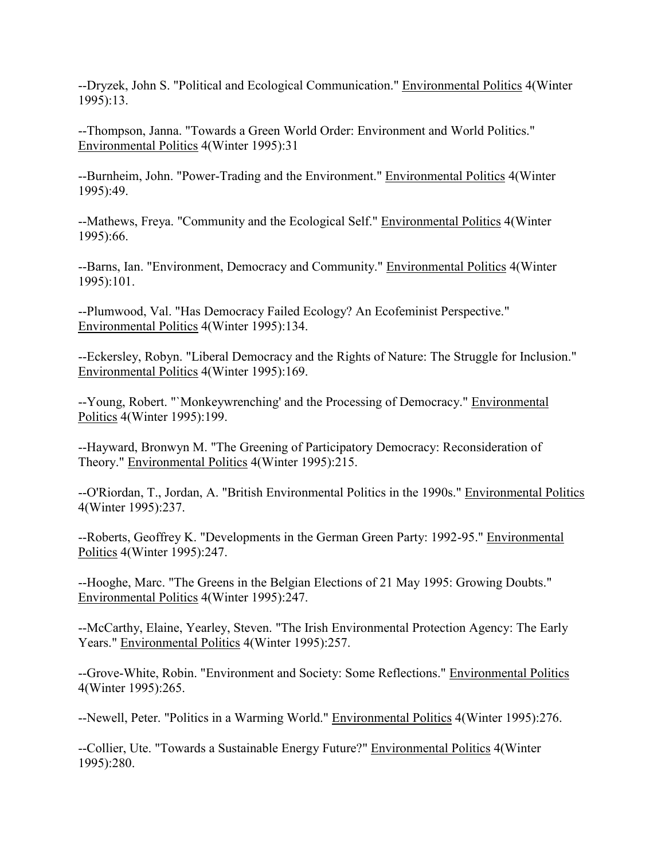--Dryzek, John S. "Political and Ecological Communication." Environmental Politics 4(Winter 1995):13.

--Thompson, Janna. "Towards a Green World Order: Environment and World Politics." Environmental Politics 4(Winter 1995):31

--Burnheim, John. "Power-Trading and the Environment." Environmental Politics 4(Winter 1995):49.

--Mathews, Freya. "Community and the Ecological Self." Environmental Politics 4(Winter 1995):66.

--Barns, Ian. "Environment, Democracy and Community." Environmental Politics 4(Winter 1995):101.

--Plumwood, Val. "Has Democracy Failed Ecology? An Ecofeminist Perspective." Environmental Politics 4(Winter 1995):134.

--Eckersley, Robyn. "Liberal Democracy and the Rights of Nature: The Struggle for Inclusion." Environmental Politics 4(Winter 1995):169.

--Young, Robert. "`Monkeywrenching' and the Processing of Democracy." Environmental Politics 4(Winter 1995):199.

--Hayward, Bronwyn M. "The Greening of Participatory Democracy: Reconsideration of Theory." Environmental Politics 4(Winter 1995):215.

--O'Riordan, T., Jordan, A. "British Environmental Politics in the 1990s." Environmental Politics 4(Winter 1995):237.

--Roberts, Geoffrey K. "Developments in the German Green Party: 1992-95." Environmental Politics 4(Winter 1995):247.

--Hooghe, Marc. "The Greens in the Belgian Elections of 21 May 1995: Growing Doubts." Environmental Politics 4(Winter 1995):247.

--McCarthy, Elaine, Yearley, Steven. "The Irish Environmental Protection Agency: The Early Years." Environmental Politics 4(Winter 1995):257.

--Grove-White, Robin. "Environment and Society: Some Reflections." Environmental Politics 4(Winter 1995):265.

--Newell, Peter. "Politics in a Warming World." Environmental Politics 4(Winter 1995):276.

--Collier, Ute. "Towards a Sustainable Energy Future?" Environmental Politics 4(Winter 1995):280.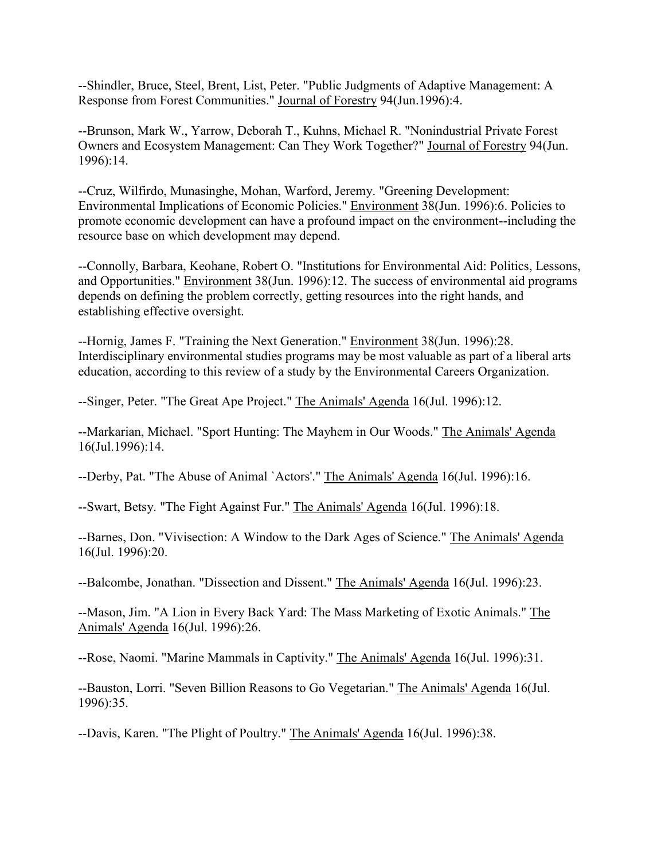--Shindler, Bruce, Steel, Brent, List, Peter. "Public Judgments of Adaptive Management: A Response from Forest Communities." Journal of Forestry 94(Jun.1996):4.

--Brunson, Mark W., Yarrow, Deborah T., Kuhns, Michael R. "Nonindustrial Private Forest Owners and Ecosystem Management: Can They Work Together?" Journal of Forestry 94(Jun. 1996):14.

--Cruz, Wilfirdo, Munasinghe, Mohan, Warford, Jeremy. "Greening Development: Environmental Implications of Economic Policies." Environment 38(Jun. 1996):6. Policies to promote economic development can have a profound impact on the environment--including the resource base on which development may depend.

--Connolly, Barbara, Keohane, Robert O. "Institutions for Environmental Aid: Politics, Lessons, and Opportunities." Environment 38(Jun. 1996):12. The success of environmental aid programs depends on defining the problem correctly, getting resources into the right hands, and establishing effective oversight.

--Hornig, James F. "Training the Next Generation." Environment 38(Jun. 1996):28. Interdisciplinary environmental studies programs may be most valuable as part of a liberal arts education, according to this review of a study by the Environmental Careers Organization.

--Singer, Peter. "The Great Ape Project." The Animals' Agenda 16(Jul. 1996):12.

--Markarian, Michael. "Sport Hunting: The Mayhem in Our Woods." The Animals' Agenda 16(Jul.1996):14.

--Derby, Pat. "The Abuse of Animal `Actors'." The Animals' Agenda 16(Jul. 1996):16.

--Swart, Betsy. "The Fight Against Fur." The Animals' Agenda 16(Jul. 1996):18.

--Barnes, Don. "Vivisection: A Window to the Dark Ages of Science." The Animals' Agenda 16(Jul. 1996):20.

--Balcombe, Jonathan. "Dissection and Dissent." The Animals' Agenda 16(Jul. 1996):23.

--Mason, Jim. "A Lion in Every Back Yard: The Mass Marketing of Exotic Animals." The Animals' Agenda 16(Jul. 1996):26.

--Rose, Naomi. "Marine Mammals in Captivity." The Animals' Agenda 16(Jul. 1996):31.

--Bauston, Lorri. "Seven Billion Reasons to Go Vegetarian." The Animals' Agenda 16(Jul. 1996):35.

--Davis, Karen. "The Plight of Poultry." The Animals' Agenda 16(Jul. 1996):38.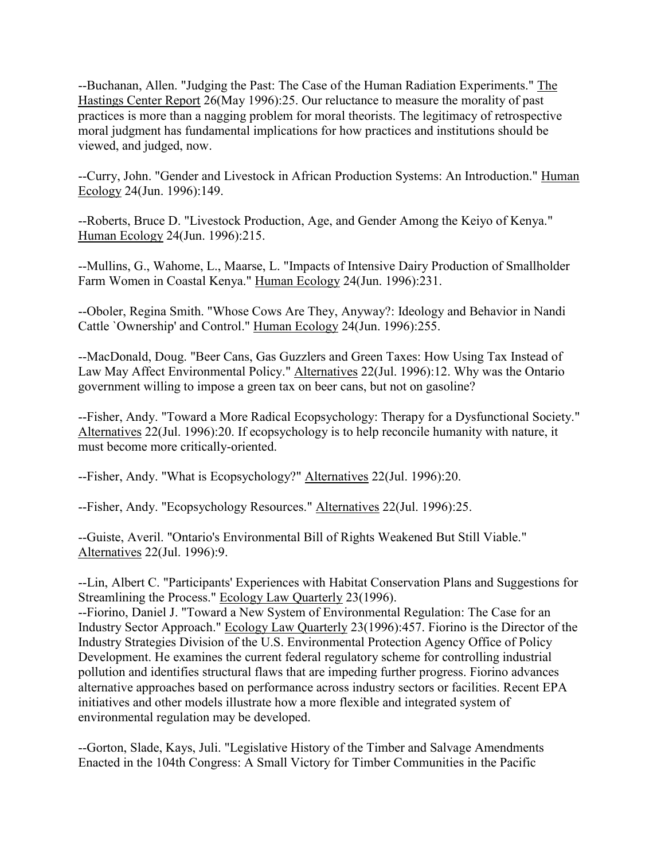--Buchanan, Allen. "Judging the Past: The Case of the Human Radiation Experiments." The Hastings Center Report 26(May 1996):25. Our reluctance to measure the morality of past practices is more than a nagging problem for moral theorists. The legitimacy of retrospective moral judgment has fundamental implications for how practices and institutions should be viewed, and judged, now.

--Curry, John. "Gender and Livestock in African Production Systems: An Introduction." Human Ecology 24(Jun. 1996):149.

--Roberts, Bruce D. "Livestock Production, Age, and Gender Among the Keiyo of Kenya." Human Ecology 24(Jun. 1996):215.

--Mullins, G., Wahome, L., Maarse, L. "Impacts of Intensive Dairy Production of Smallholder Farm Women in Coastal Kenya." Human Ecology 24(Jun. 1996):231.

--Oboler, Regina Smith. "Whose Cows Are They, Anyway?: Ideology and Behavior in Nandi Cattle `Ownership' and Control." Human Ecology 24(Jun. 1996):255.

--MacDonald, Doug. "Beer Cans, Gas Guzzlers and Green Taxes: How Using Tax Instead of Law May Affect Environmental Policy." Alternatives 22(Jul. 1996):12. Why was the Ontario government willing to impose a green tax on beer cans, but not on gasoline?

--Fisher, Andy. "Toward a More Radical Ecopsychology: Therapy for a Dysfunctional Society." Alternatives 22(Jul. 1996):20. If ecopsychology is to help reconcile humanity with nature, it must become more critically-oriented.

--Fisher, Andy. "What is Ecopsychology?" Alternatives 22(Jul. 1996):20.

--Fisher, Andy. "Ecopsychology Resources." Alternatives 22(Jul. 1996):25.

--Guiste, Averil. "Ontario's Environmental Bill of Rights Weakened But Still Viable." Alternatives 22(Jul. 1996):9.

--Lin, Albert C. "Participants' Experiences with Habitat Conservation Plans and Suggestions for Streamlining the Process." Ecology Law Quarterly 23(1996).

--Fiorino, Daniel J. "Toward a New System of Environmental Regulation: The Case for an Industry Sector Approach." Ecology Law Quarterly 23(1996):457. Fiorino is the Director of the Industry Strategies Division of the U.S. Environmental Protection Agency Office of Policy Development. He examines the current federal regulatory scheme for controlling industrial pollution and identifies structural flaws that are impeding further progress. Fiorino advances alternative approaches based on performance across industry sectors or facilities. Recent EPA initiatives and other models illustrate how a more flexible and integrated system of environmental regulation may be developed.

--Gorton, Slade, Kays, Juli. "Legislative History of the Timber and Salvage Amendments Enacted in the 104th Congress: A Small Victory for Timber Communities in the Pacific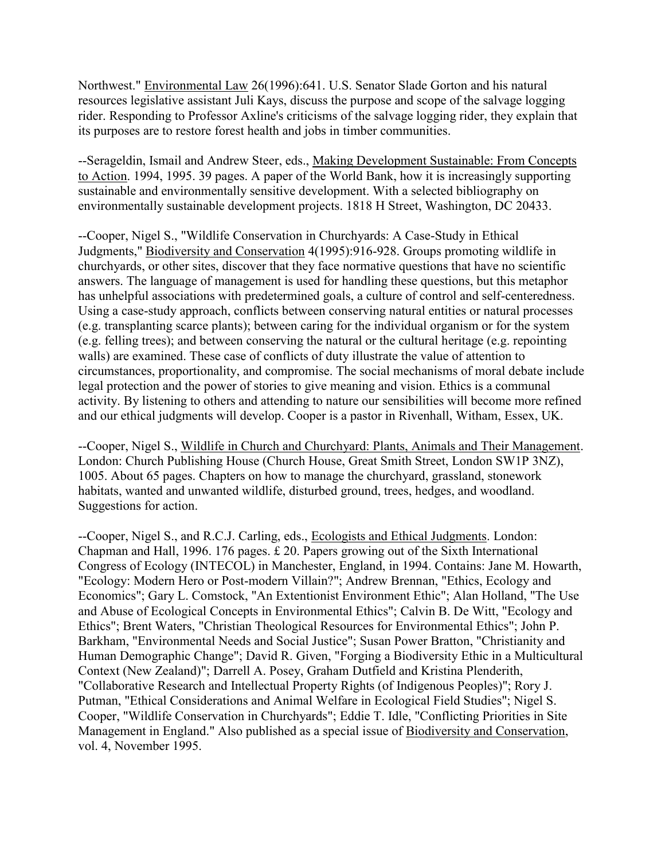Northwest." Environmental Law 26(1996):641. U.S. Senator Slade Gorton and his natural resources legislative assistant Juli Kays, discuss the purpose and scope of the salvage logging rider. Responding to Professor Axline's criticisms of the salvage logging rider, they explain that its purposes are to restore forest health and jobs in timber communities.

--Serageldin, Ismail and Andrew Steer, eds., Making Development Sustainable: From Concepts to Action. 1994, 1995. 39 pages. A paper of the World Bank, how it is increasingly supporting sustainable and environmentally sensitive development. With a selected bibliography on environmentally sustainable development projects. 1818 H Street, Washington, DC 20433.

--Cooper, Nigel S., "Wildlife Conservation in Churchyards: A Case-Study in Ethical Judgments," Biodiversity and Conservation 4(1995):916-928. Groups promoting wildlife in churchyards, or other sites, discover that they face normative questions that have no scientific answers. The language of management is used for handling these questions, but this metaphor has unhelpful associations with predetermined goals, a culture of control and self-centeredness. Using a case-study approach, conflicts between conserving natural entities or natural processes (e.g. transplanting scarce plants); between caring for the individual organism or for the system (e.g. felling trees); and between conserving the natural or the cultural heritage (e.g. repointing walls) are examined. These case of conflicts of duty illustrate the value of attention to circumstances, proportionality, and compromise. The social mechanisms of moral debate include legal protection and the power of stories to give meaning and vision. Ethics is a communal activity. By listening to others and attending to nature our sensibilities will become more refined and our ethical judgments will develop. Cooper is a pastor in Rivenhall, Witham, Essex, UK.

--Cooper, Nigel S., Wildlife in Church and Churchyard: Plants, Animals and Their Management. London: Church Publishing House (Church House, Great Smith Street, London SW1P 3NZ), 1005. About 65 pages. Chapters on how to manage the churchyard, grassland, stonework habitats, wanted and unwanted wildlife, disturbed ground, trees, hedges, and woodland. Suggestions for action.

--Cooper, Nigel S., and R.C.J. Carling, eds., Ecologists and Ethical Judgments. London: Chapman and Hall, 1996. 176 pages. £ 20. Papers growing out of the Sixth International Congress of Ecology (INTECOL) in Manchester, England, in 1994. Contains: Jane M. Howarth, "Ecology: Modern Hero or Post-modern Villain?"; Andrew Brennan, "Ethics, Ecology and Economics"; Gary L. Comstock, "An Extentionist Environment Ethic"; Alan Holland, "The Use and Abuse of Ecological Concepts in Environmental Ethics"; Calvin B. De Witt, "Ecology and Ethics"; Brent Waters, "Christian Theological Resources for Environmental Ethics"; John P. Barkham, "Environmental Needs and Social Justice"; Susan Power Bratton, "Christianity and Human Demographic Change"; David R. Given, "Forging a Biodiversity Ethic in a Multicultural Context (New Zealand)"; Darrell A. Posey, Graham Dutfield and Kristina Plenderith, "Collaborative Research and Intellectual Property Rights (of Indigenous Peoples)"; Rory J. Putman, "Ethical Considerations and Animal Welfare in Ecological Field Studies"; Nigel S. Cooper, "Wildlife Conservation in Churchyards"; Eddie T. Idle, "Conflicting Priorities in Site Management in England." Also published as a special issue of Biodiversity and Conservation, vol. 4, November 1995.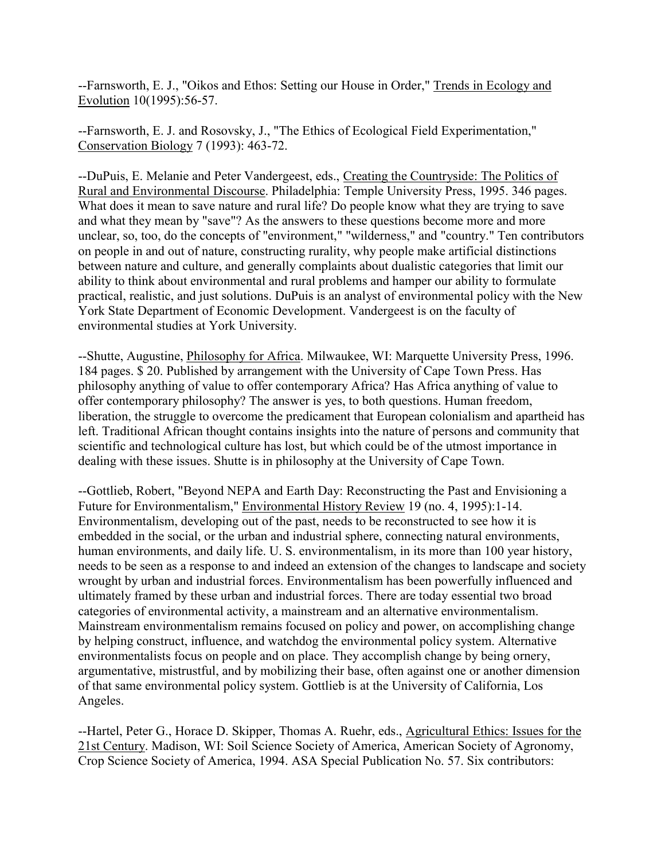--Farnsworth, E. J., "Oikos and Ethos: Setting our House in Order," Trends in Ecology and Evolution 10(1995):56-57.

--Farnsworth, E. J. and Rosovsky, J., "The Ethics of Ecological Field Experimentation," Conservation Biology 7 (1993): 463-72.

--DuPuis, E. Melanie and Peter Vandergeest, eds., Creating the Countryside: The Politics of Rural and Environmental Discourse. Philadelphia: Temple University Press, 1995. 346 pages. What does it mean to save nature and rural life? Do people know what they are trying to save and what they mean by "save"? As the answers to these questions become more and more unclear, so, too, do the concepts of "environment," "wilderness," and "country." Ten contributors on people in and out of nature, constructing rurality, why people make artificial distinctions between nature and culture, and generally complaints about dualistic categories that limit our ability to think about environmental and rural problems and hamper our ability to formulate practical, realistic, and just solutions. DuPuis is an analyst of environmental policy with the New York State Department of Economic Development. Vandergeest is on the faculty of environmental studies at York University.

--Shutte, Augustine, Philosophy for Africa. Milwaukee, WI: Marquette University Press, 1996. 184 pages. \$ 20. Published by arrangement with the University of Cape Town Press. Has philosophy anything of value to offer contemporary Africa? Has Africa anything of value to offer contemporary philosophy? The answer is yes, to both questions. Human freedom, liberation, the struggle to overcome the predicament that European colonialism and apartheid has left. Traditional African thought contains insights into the nature of persons and community that scientific and technological culture has lost, but which could be of the utmost importance in dealing with these issues. Shutte is in philosophy at the University of Cape Town.

--Gottlieb, Robert, "Beyond NEPA and Earth Day: Reconstructing the Past and Envisioning a Future for Environmentalism," Environmental History Review 19 (no. 4, 1995):1-14. Environmentalism, developing out of the past, needs to be reconstructed to see how it is embedded in the social, or the urban and industrial sphere, connecting natural environments, human environments, and daily life. U. S. environmentalism, in its more than 100 year history, needs to be seen as a response to and indeed an extension of the changes to landscape and society wrought by urban and industrial forces. Environmentalism has been powerfully influenced and ultimately framed by these urban and industrial forces. There are today essential two broad categories of environmental activity, a mainstream and an alternative environmentalism. Mainstream environmentalism remains focused on policy and power, on accomplishing change by helping construct, influence, and watchdog the environmental policy system. Alternative environmentalists focus on people and on place. They accomplish change by being ornery, argumentative, mistrustful, and by mobilizing their base, often against one or another dimension of that same environmental policy system. Gottlieb is at the University of California, Los Angeles.

--Hartel, Peter G., Horace D. Skipper, Thomas A. Ruehr, eds., Agricultural Ethics: Issues for the 21st Century. Madison, WI: Soil Science Society of America, American Society of Agronomy, Crop Science Society of America, 1994. ASA Special Publication No. 57. Six contributors: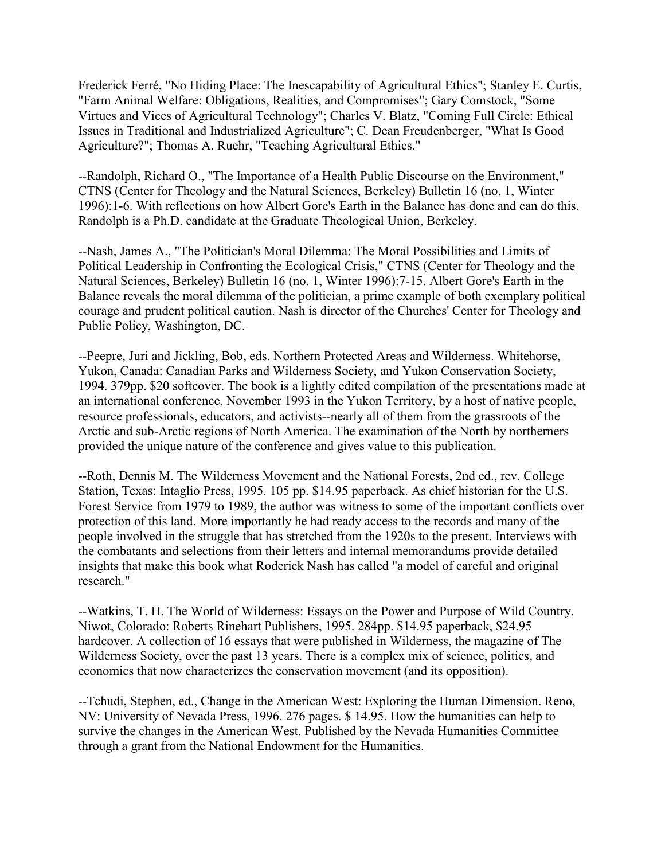Frederick Ferré, "No Hiding Place: The Inescapability of Agricultural Ethics"; Stanley E. Curtis, "Farm Animal Welfare: Obligations, Realities, and Compromises"; Gary Comstock, "Some Virtues and Vices of Agricultural Technology"; Charles V. Blatz, "Coming Full Circle: Ethical Issues in Traditional and Industrialized Agriculture"; C. Dean Freudenberger, "What Is Good Agriculture?"; Thomas A. Ruehr, "Teaching Agricultural Ethics."

--Randolph, Richard O., "The Importance of a Health Public Discourse on the Environment," CTNS (Center for Theology and the Natural Sciences, Berkeley) Bulletin 16 (no. 1, Winter 1996):1-6. With reflections on how Albert Gore's Earth in the Balance has done and can do this. Randolph is a Ph.D. candidate at the Graduate Theological Union, Berkeley.

--Nash, James A., "The Politician's Moral Dilemma: The Moral Possibilities and Limits of Political Leadership in Confronting the Ecological Crisis," CTNS (Center for Theology and the Natural Sciences, Berkeley) Bulletin 16 (no. 1, Winter 1996):7-15. Albert Gore's Earth in the Balance reveals the moral dilemma of the politician, a prime example of both exemplary political courage and prudent political caution. Nash is director of the Churches' Center for Theology and Public Policy, Washington, DC.

--Peepre, Juri and Jickling, Bob, eds. Northern Protected Areas and Wilderness. Whitehorse, Yukon, Canada: Canadian Parks and Wilderness Society, and Yukon Conservation Society, 1994. 379pp. \$20 softcover. The book is a lightly edited compilation of the presentations made at an international conference, November 1993 in the Yukon Territory, by a host of native people, resource professionals, educators, and activists--nearly all of them from the grassroots of the Arctic and sub-Arctic regions of North America. The examination of the North by northerners provided the unique nature of the conference and gives value to this publication.

--Roth, Dennis M. The Wilderness Movement and the National Forests, 2nd ed., rev. College Station, Texas: Intaglio Press, 1995. 105 pp. \$14.95 paperback. As chief historian for the U.S. Forest Service from 1979 to 1989, the author was witness to some of the important conflicts over protection of this land. More importantly he had ready access to the records and many of the people involved in the struggle that has stretched from the 1920s to the present. Interviews with the combatants and selections from their letters and internal memorandums provide detailed insights that make this book what Roderick Nash has called "a model of careful and original research."

--Watkins, T. H. The World of Wilderness: Essays on the Power and Purpose of Wild Country. Niwot, Colorado: Roberts Rinehart Publishers, 1995. 284pp. \$14.95 paperback, \$24.95 hardcover. A collection of 16 essays that were published in Wilderness, the magazine of The Wilderness Society, over the past 13 years. There is a complex mix of science, politics, and economics that now characterizes the conservation movement (and its opposition).

--Tchudi, Stephen, ed., Change in the American West: Exploring the Human Dimension. Reno, NV: University of Nevada Press, 1996. 276 pages. \$ 14.95. How the humanities can help to survive the changes in the American West. Published by the Nevada Humanities Committee through a grant from the National Endowment for the Humanities.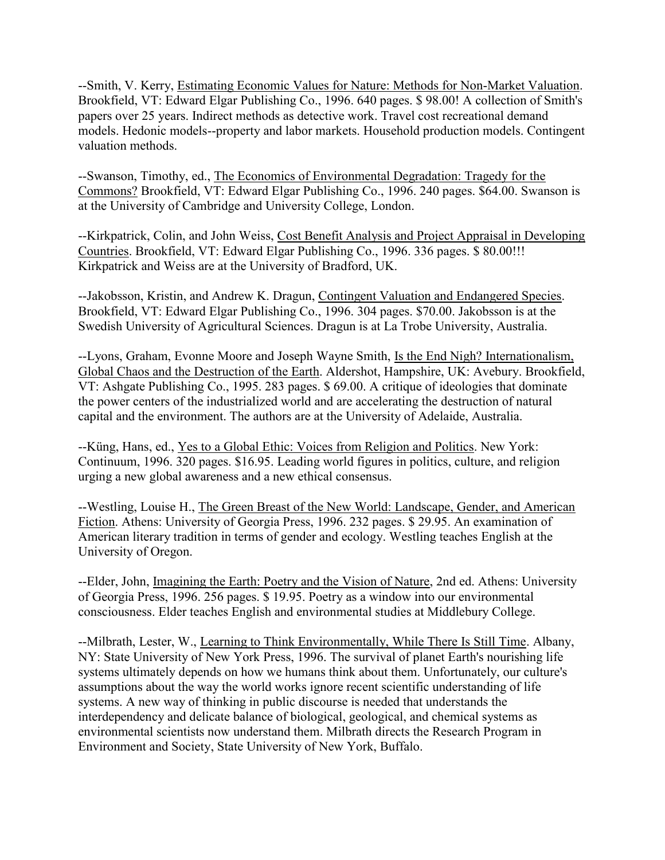--Smith, V. Kerry, Estimating Economic Values for Nature: Methods for Non-Market Valuation. Brookfield, VT: Edward Elgar Publishing Co., 1996. 640 pages. \$ 98.00! A collection of Smith's papers over 25 years. Indirect methods as detective work. Travel cost recreational demand models. Hedonic models--property and labor markets. Household production models. Contingent valuation methods.

--Swanson, Timothy, ed., The Economics of Environmental Degradation: Tragedy for the Commons? Brookfield, VT: Edward Elgar Publishing Co., 1996. 240 pages. \$64.00. Swanson is at the University of Cambridge and University College, London.

--Kirkpatrick, Colin, and John Weiss, Cost Benefit Analysis and Project Appraisal in Developing Countries. Brookfield, VT: Edward Elgar Publishing Co., 1996. 336 pages. \$ 80.00!!! Kirkpatrick and Weiss are at the University of Bradford, UK.

--Jakobsson, Kristin, and Andrew K. Dragun, Contingent Valuation and Endangered Species. Brookfield, VT: Edward Elgar Publishing Co., 1996. 304 pages. \$70.00. Jakobsson is at the Swedish University of Agricultural Sciences. Dragun is at La Trobe University, Australia.

--Lyons, Graham, Evonne Moore and Joseph Wayne Smith, Is the End Nigh? Internationalism, Global Chaos and the Destruction of the Earth. Aldershot, Hampshire, UK: Avebury. Brookfield, VT: Ashgate Publishing Co., 1995. 283 pages. \$ 69.00. A critique of ideologies that dominate the power centers of the industrialized world and are accelerating the destruction of natural capital and the environment. The authors are at the University of Adelaide, Australia.

--Küng, Hans, ed., Yes to a Global Ethic: Voices from Religion and Politics. New York: Continuum, 1996. 320 pages. \$16.95. Leading world figures in politics, culture, and religion urging a new global awareness and a new ethical consensus.

--Westling, Louise H., The Green Breast of the New World: Landscape, Gender, and American Fiction. Athens: University of Georgia Press, 1996. 232 pages. \$ 29.95. An examination of American literary tradition in terms of gender and ecology. Westling teaches English at the University of Oregon.

--Elder, John, Imagining the Earth: Poetry and the Vision of Nature, 2nd ed. Athens: University of Georgia Press, 1996. 256 pages. \$ 19.95. Poetry as a window into our environmental consciousness. Elder teaches English and environmental studies at Middlebury College.

--Milbrath, Lester, W., Learning to Think Environmentally, While There Is Still Time. Albany, NY: State University of New York Press, 1996. The survival of planet Earth's nourishing life systems ultimately depends on how we humans think about them. Unfortunately, our culture's assumptions about the way the world works ignore recent scientific understanding of life systems. A new way of thinking in public discourse is needed that understands the interdependency and delicate balance of biological, geological, and chemical systems as environmental scientists now understand them. Milbrath directs the Research Program in Environment and Society, State University of New York, Buffalo.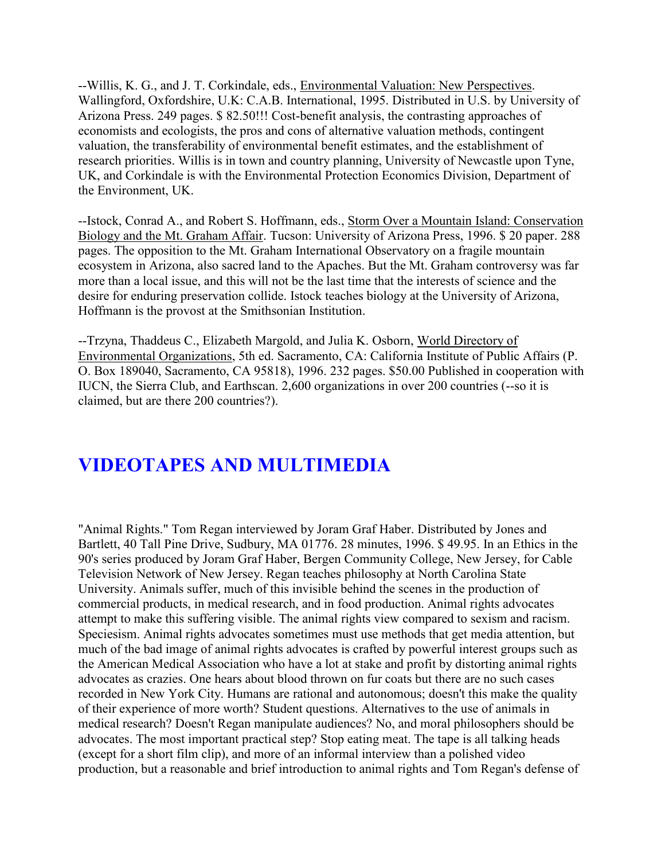--Willis, K. G., and J. T. Corkindale, eds., Environmental Valuation: New Perspectives. Wallingford, Oxfordshire, U.K: C.A.B. International, 1995. Distributed in U.S. by University of Arizona Press. 249 pages. \$ 82.50!!! Cost-benefit analysis, the contrasting approaches of economists and ecologists, the pros and cons of alternative valuation methods, contingent valuation, the transferability of environmental benefit estimates, and the establishment of research priorities. Willis is in town and country planning, University of Newcastle upon Tyne, UK, and Corkindale is with the Environmental Protection Economics Division, Department of the Environment, UK.

--Istock, Conrad A., and Robert S. Hoffmann, eds., Storm Over a Mountain Island: Conservation Biology and the Mt. Graham Affair. Tucson: University of Arizona Press, 1996. \$ 20 paper. 288 pages. The opposition to the Mt. Graham International Observatory on a fragile mountain ecosystem in Arizona, also sacred land to the Apaches. But the Mt. Graham controversy was far more than a local issue, and this will not be the last time that the interests of science and the desire for enduring preservation collide. Istock teaches biology at the University of Arizona, Hoffmann is the provost at the Smithsonian Institution.

--Trzyna, Thaddeus C., Elizabeth Margold, and Julia K. Osborn, World Directory of Environmental Organizations, 5th ed. Sacramento, CA: California Institute of Public Affairs (P. O. Box 189040, Sacramento, CA 95818), 1996. 232 pages. \$50.00 Published in cooperation with IUCN, the Sierra Club, and Earthscan. 2,600 organizations in over 200 countries (--so it is claimed, but are there 200 countries?).

# **VIDEOTAPES AND MULTIMEDIA**

"Animal Rights." Tom Regan interviewed by Joram Graf Haber. Distributed by Jones and Bartlett, 40 Tall Pine Drive, Sudbury, MA 01776. 28 minutes, 1996. \$ 49.95. In an Ethics in the 90's series produced by Joram Graf Haber, Bergen Community College, New Jersey, for Cable Television Network of New Jersey. Regan teaches philosophy at North Carolina State University. Animals suffer, much of this invisible behind the scenes in the production of commercial products, in medical research, and in food production. Animal rights advocates attempt to make this suffering visible. The animal rights view compared to sexism and racism. Speciesism. Animal rights advocates sometimes must use methods that get media attention, but much of the bad image of animal rights advocates is crafted by powerful interest groups such as the American Medical Association who have a lot at stake and profit by distorting animal rights advocates as crazies. One hears about blood thrown on fur coats but there are no such cases recorded in New York City. Humans are rational and autonomous; doesn't this make the quality of their experience of more worth? Student questions. Alternatives to the use of animals in medical research? Doesn't Regan manipulate audiences? No, and moral philosophers should be advocates. The most important practical step? Stop eating meat. The tape is all talking heads (except for a short film clip), and more of an informal interview than a polished video production, but a reasonable and brief introduction to animal rights and Tom Regan's defense of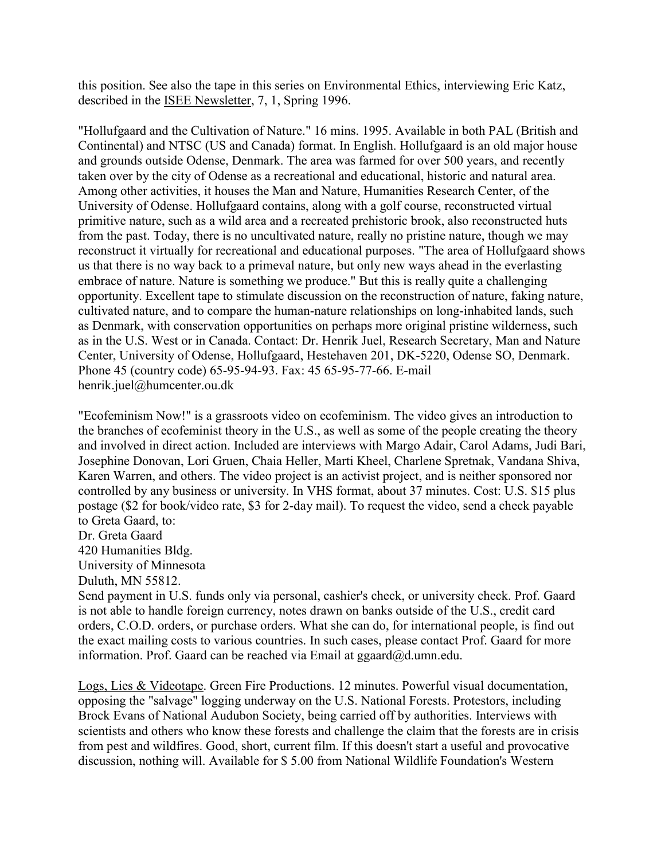this position. See also the tape in this series on Environmental Ethics, interviewing Eric Katz, described in the ISEE Newsletter, 7, 1, Spring 1996.

"Hollufgaard and the Cultivation of Nature." 16 mins. 1995. Available in both PAL (British and Continental) and NTSC (US and Canada) format. In English. Hollufgaard is an old major house and grounds outside Odense, Denmark. The area was farmed for over 500 years, and recently taken over by the city of Odense as a recreational and educational, historic and natural area. Among other activities, it houses the Man and Nature, Humanities Research Center, of the University of Odense. Hollufgaard contains, along with a golf course, reconstructed virtual primitive nature, such as a wild area and a recreated prehistoric brook, also reconstructed huts from the past. Today, there is no uncultivated nature, really no pristine nature, though we may reconstruct it virtually for recreational and educational purposes. "The area of Hollufgaard shows us that there is no way back to a primeval nature, but only new ways ahead in the everlasting embrace of nature. Nature is something we produce." But this is really quite a challenging opportunity. Excellent tape to stimulate discussion on the reconstruction of nature, faking nature, cultivated nature, and to compare the human-nature relationships on long-inhabited lands, such as Denmark, with conservation opportunities on perhaps more original pristine wilderness, such as in the U.S. West or in Canada. Contact: Dr. Henrik Juel, Research Secretary, Man and Nature Center, University of Odense, Hollufgaard, Hestehaven 201, DK-5220, Odense SO, Denmark. Phone 45 (country code) 65-95-94-93. Fax: 45 65-95-77-66. E-mail henrik.juel@humcenter.ou.dk

"Ecofeminism Now!" is a grassroots video on ecofeminism. The video gives an introduction to the branches of ecofeminist theory in the U.S., as well as some of the people creating the theory and involved in direct action. Included are interviews with Margo Adair, Carol Adams, Judi Bari, Josephine Donovan, Lori Gruen, Chaia Heller, Marti Kheel, Charlene Spretnak, Vandana Shiva, Karen Warren, and others. The video project is an activist project, and is neither sponsored nor controlled by any business or university. In VHS format, about 37 minutes. Cost: U.S. \$15 plus postage (\$2 for book/video rate, \$3 for 2-day mail). To request the video, send a check payable to Greta Gaard, to:

Dr. Greta Gaard

420 Humanities Bldg.

University of Minnesota

Duluth, MN 55812.

Send payment in U.S. funds only via personal, cashier's check, or university check. Prof. Gaard is not able to handle foreign currency, notes drawn on banks outside of the U.S., credit card orders, C.O.D. orders, or purchase orders. What she can do, for international people, is find out the exact mailing costs to various countries. In such cases, please contact Prof. Gaard for more information. Prof. Gaard can be reached via Email at ggaard@d.umn.edu.

Logs, Lies & Videotape. Green Fire Productions. 12 minutes. Powerful visual documentation, opposing the "salvage" logging underway on the U.S. National Forests. Protestors, including Brock Evans of National Audubon Society, being carried off by authorities. Interviews with scientists and others who know these forests and challenge the claim that the forests are in crisis from pest and wildfires. Good, short, current film. If this doesn't start a useful and provocative discussion, nothing will. Available for \$ 5.00 from National Wildlife Foundation's Western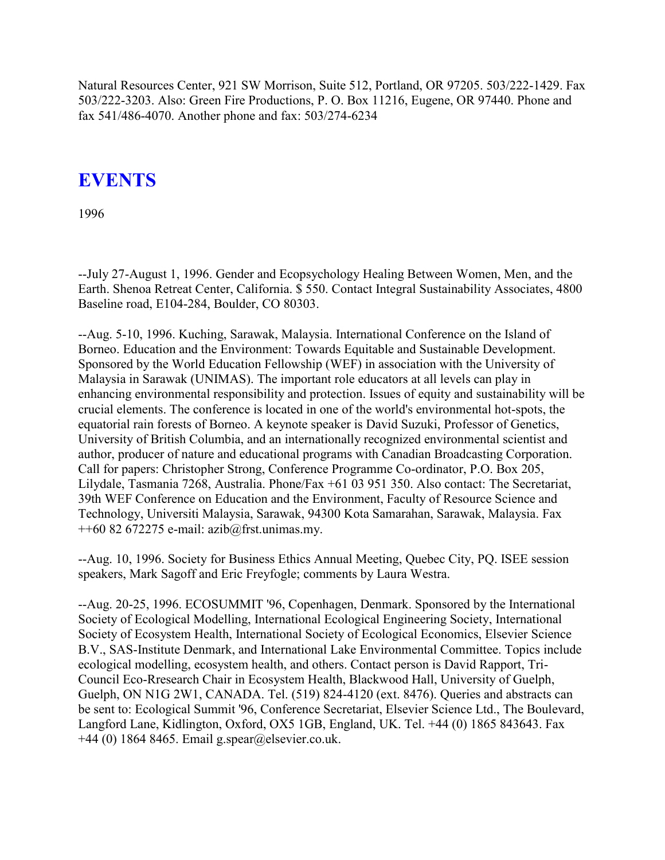Natural Resources Center, 921 SW Morrison, Suite 512, Portland, OR 97205. 503/222-1429. Fax 503/222-3203. Also: Green Fire Productions, P. O. Box 11216, Eugene, OR 97440. Phone and fax 541/486-4070. Another phone and fax: 503/274-6234

# **EVENTS**

1996

--July 27-August 1, 1996. Gender and Ecopsychology Healing Between Women, Men, and the Earth. Shenoa Retreat Center, California. \$ 550. Contact Integral Sustainability Associates, 4800 Baseline road, E104-284, Boulder, CO 80303.

--Aug. 5-10, 1996. Kuching, Sarawak, Malaysia. International Conference on the Island of Borneo. Education and the Environment: Towards Equitable and Sustainable Development. Sponsored by the World Education Fellowship (WEF) in association with the University of Malaysia in Sarawak (UNIMAS). The important role educators at all levels can play in enhancing environmental responsibility and protection. Issues of equity and sustainability will be crucial elements. The conference is located in one of the world's environmental hot-spots, the equatorial rain forests of Borneo. A keynote speaker is David Suzuki, Professor of Genetics, University of British Columbia, and an internationally recognized environmental scientist and author, producer of nature and educational programs with Canadian Broadcasting Corporation. Call for papers: Christopher Strong, Conference Programme Co-ordinator, P.O. Box 205, Lilydale, Tasmania 7268, Australia. Phone/Fax +61 03 951 350. Also contact: The Secretariat, 39th WEF Conference on Education and the Environment, Faculty of Resource Science and Technology, Universiti Malaysia, Sarawak, 94300 Kota Samarahan, Sarawak, Malaysia. Fax  $++60$  82 672275 e-mail: azib $@$ frst.unimas.my.

--Aug. 10, 1996. Society for Business Ethics Annual Meeting, Quebec City, PQ. ISEE session speakers, Mark Sagoff and Eric Freyfogle; comments by Laura Westra.

--Aug. 20-25, 1996. ECOSUMMIT '96, Copenhagen, Denmark. Sponsored by the International Society of Ecological Modelling, International Ecological Engineering Society, International Society of Ecosystem Health, International Society of Ecological Economics, Elsevier Science B.V., SAS-Institute Denmark, and International Lake Environmental Committee. Topics include ecological modelling, ecosystem health, and others. Contact person is David Rapport, Tri-Council Eco-Rresearch Chair in Ecosystem Health, Blackwood Hall, University of Guelph, Guelph, ON N1G 2W1, CANADA. Tel. (519) 824-4120 (ext. 8476). Queries and abstracts can be sent to: Ecological Summit '96, Conference Secretariat, Elsevier Science Ltd., The Boulevard, Langford Lane, Kidlington, Oxford, OX5 1GB, England, UK. Tel. +44 (0) 1865 843643. Fax  $+44$  (0) 1864 8465. Email g.spear@elsevier.co.uk.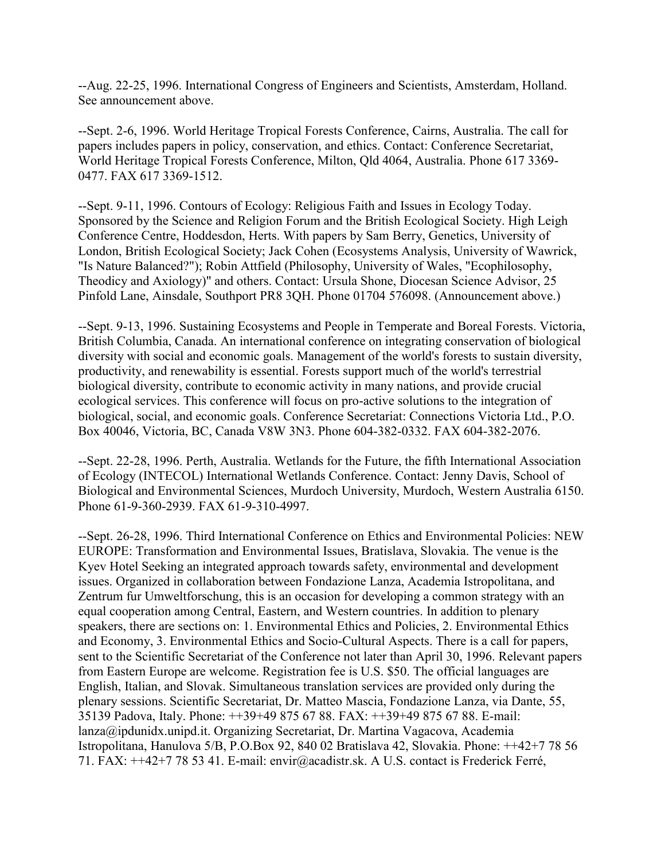--Aug. 22-25, 1996. International Congress of Engineers and Scientists, Amsterdam, Holland. See announcement above.

--Sept. 2-6, 1996. World Heritage Tropical Forests Conference, Cairns, Australia. The call for papers includes papers in policy, conservation, and ethics. Contact: Conference Secretariat, World Heritage Tropical Forests Conference, Milton, Qld 4064, Australia. Phone 617 3369- 0477. FAX 617 3369-1512.

--Sept. 9-11, 1996. Contours of Ecology: Religious Faith and Issues in Ecology Today. Sponsored by the Science and Religion Forum and the British Ecological Society. High Leigh Conference Centre, Hoddesdon, Herts. With papers by Sam Berry, Genetics, University of London, British Ecological Society; Jack Cohen (Ecosystems Analysis, University of Wawrick, "Is Nature Balanced?"); Robin Attfield (Philosophy, University of Wales, "Ecophilosophy, Theodicy and Axiology)" and others. Contact: Ursula Shone, Diocesan Science Advisor, 25 Pinfold Lane, Ainsdale, Southport PR8 3QH. Phone 01704 576098. (Announcement above.)

--Sept. 9-13, 1996. Sustaining Ecosystems and People in Temperate and Boreal Forests. Victoria, British Columbia, Canada. An international conference on integrating conservation of biological diversity with social and economic goals. Management of the world's forests to sustain diversity, productivity, and renewability is essential. Forests support much of the world's terrestrial biological diversity, contribute to economic activity in many nations, and provide crucial ecological services. This conference will focus on pro-active solutions to the integration of biological, social, and economic goals. Conference Secretariat: Connections Victoria Ltd., P.O. Box 40046, Victoria, BC, Canada V8W 3N3. Phone 604-382-0332. FAX 604-382-2076.

--Sept. 22-28, 1996. Perth, Australia. Wetlands for the Future, the fifth International Association of Ecology (INTECOL) International Wetlands Conference. Contact: Jenny Davis, School of Biological and Environmental Sciences, Murdoch University, Murdoch, Western Australia 6150. Phone 61-9-360-2939. FAX 61-9-310-4997.

--Sept. 26-28, 1996. Third International Conference on Ethics and Environmental Policies: NEW EUROPE: Transformation and Environmental Issues, Bratislava, Slovakia. The venue is the Kyev Hotel Seeking an integrated approach towards safety, environmental and development issues. Organized in collaboration between Fondazione Lanza, Academia Istropolitana, and Zentrum fur Umweltforschung, this is an occasion for developing a common strategy with an equal cooperation among Central, Eastern, and Western countries. In addition to plenary speakers, there are sections on: 1. Environmental Ethics and Policies, 2. Environmental Ethics and Economy, 3. Environmental Ethics and Socio-Cultural Aspects. There is a call for papers, sent to the Scientific Secretariat of the Conference not later than April 30, 1996. Relevant papers from Eastern Europe are welcome. Registration fee is U.S. \$50. The official languages are English, Italian, and Slovak. Simultaneous translation services are provided only during the plenary sessions. Scientific Secretariat, Dr. Matteo Mascia, Fondazione Lanza, via Dante, 55, 35139 Padova, Italy. Phone: ++39+49 875 67 88. FAX: ++39+49 875 67 88. E-mail: lanza@ipdunidx.unipd.it. Organizing Secretariat, Dr. Martina Vagacova, Academia Istropolitana, Hanulova 5/B, P.O.Box 92, 840 02 Bratislava 42, Slovakia. Phone: ++42+7 78 56 71. FAX: ++42+7 78 53 41. E-mail: envir@acadistr.sk. A U.S. contact is Frederick Ferré,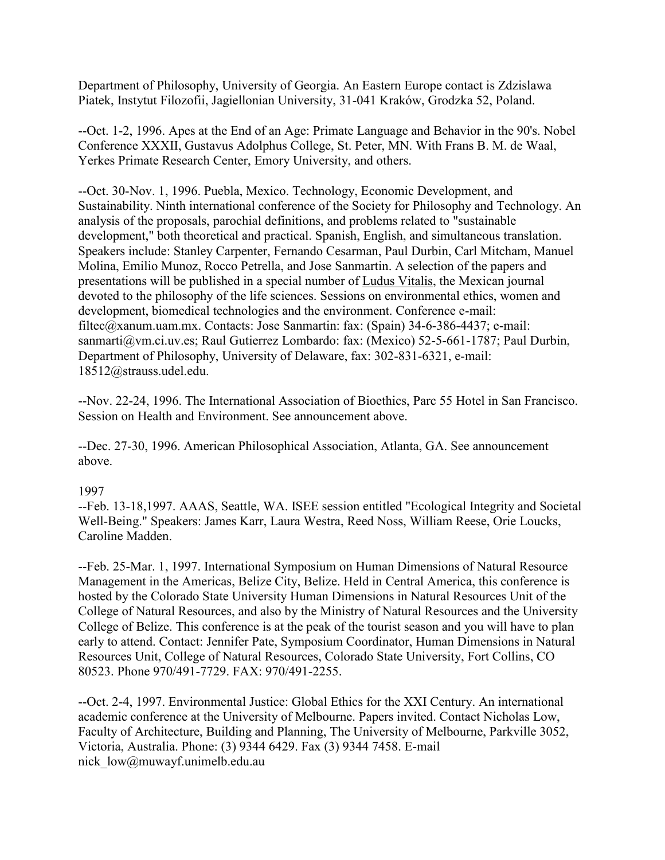Department of Philosophy, University of Georgia. An Eastern Europe contact is Zdzislawa Piatek, Instytut Filozofii, Jagiellonian University, 31-041 Kraków, Grodzka 52, Poland.

--Oct. 1-2, 1996. Apes at the End of an Age: Primate Language and Behavior in the 90's. Nobel Conference XXXII, Gustavus Adolphus College, St. Peter, MN. With Frans B. M. de Waal, Yerkes Primate Research Center, Emory University, and others.

--Oct. 30-Nov. 1, 1996. Puebla, Mexico. Technology, Economic Development, and Sustainability. Ninth international conference of the Society for Philosophy and Technology. An analysis of the proposals, parochial definitions, and problems related to "sustainable development," both theoretical and practical. Spanish, English, and simultaneous translation. Speakers include: Stanley Carpenter, Fernando Cesarman, Paul Durbin, Carl Mitcham, Manuel Molina, Emilio Munoz, Rocco Petrella, and Jose Sanmartin. A selection of the papers and presentations will be published in a special number of Ludus Vitalis, the Mexican journal devoted to the philosophy of the life sciences. Sessions on environmental ethics, women and development, biomedical technologies and the environment. Conference e-mail: filtec@xanum.uam.mx. Contacts: Jose Sanmartin: fax: (Spain) 34-6-386-4437; e-mail: sanmarti@vm.ci.uv.es; Raul Gutierrez Lombardo: fax: (Mexico) 52-5-661-1787; Paul Durbin, Department of Philosophy, University of Delaware, fax: 302-831-6321, e-mail: 18512@strauss.udel.edu.

--Nov. 22-24, 1996. The International Association of Bioethics, Parc 55 Hotel in San Francisco. Session on Health and Environment. See announcement above.

--Dec. 27-30, 1996. American Philosophical Association, Atlanta, GA. See announcement above.

### 1997

--Feb. 13-18,1997. AAAS, Seattle, WA. ISEE session entitled "Ecological Integrity and Societal Well-Being." Speakers: James Karr, Laura Westra, Reed Noss, William Reese, Orie Loucks, Caroline Madden.

--Feb. 25-Mar. 1, 1997. International Symposium on Human Dimensions of Natural Resource Management in the Americas, Belize City, Belize. Held in Central America, this conference is hosted by the Colorado State University Human Dimensions in Natural Resources Unit of the College of Natural Resources, and also by the Ministry of Natural Resources and the University College of Belize. This conference is at the peak of the tourist season and you will have to plan early to attend. Contact: Jennifer Pate, Symposium Coordinator, Human Dimensions in Natural Resources Unit, College of Natural Resources, Colorado State University, Fort Collins, CO 80523. Phone 970/491-7729. FAX: 970/491-2255.

--Oct. 2-4, 1997. Environmental Justice: Global Ethics for the XXI Century. An international academic conference at the University of Melbourne. Papers invited. Contact Nicholas Low, Faculty of Architecture, Building and Planning, The University of Melbourne, Parkville 3052, Victoria, Australia. Phone: (3) 9344 6429. Fax (3) 9344 7458. E-mail nick\_low@muwayf.unimelb.edu.au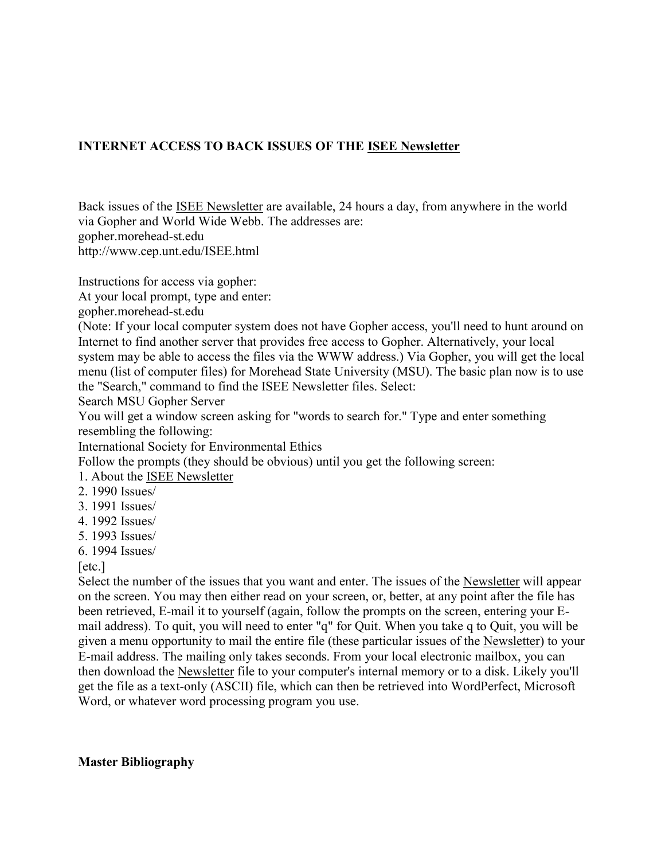### **INTERNET ACCESS TO BACK ISSUES OF THE ISEE Newsletter**

Back issues of the ISEE Newsletter are available, 24 hours a day, from anywhere in the world via Gopher and World Wide Webb. The addresses are: gopher.morehead-st.edu http://www.cep.unt.edu/ISEE.html

Instructions for access via gopher:

At your local prompt, type and enter:

gopher.morehead-st.edu

(Note: If your local computer system does not have Gopher access, you'll need to hunt around on Internet to find another server that provides free access to Gopher. Alternatively, your local system may be able to access the files via the WWW address.) Via Gopher, you will get the local menu (list of computer files) for Morehead State University (MSU). The basic plan now is to use the "Search," command to find the ISEE Newsletter files. Select:

Search MSU Gopher Server

You will get a window screen asking for "words to search for." Type and enter something resembling the following:

International Society for Environmental Ethics

Follow the prompts (they should be obvious) until you get the following screen:

- 1. About the ISEE Newsletter
- 2. 1990 Issues/
- 3. 1991 Issues/
- 4. 1992 Issues/
- 5. 1993 Issues/
- 6. 1994 Issues/

[etc.]

Select the number of the issues that you want and enter. The issues of the Newsletter will appear on the screen. You may then either read on your screen, or, better, at any point after the file has been retrieved, E-mail it to yourself (again, follow the prompts on the screen, entering your Email address). To quit, you will need to enter "q" for Quit. When you take q to Quit, you will be given a menu opportunity to mail the entire file (these particular issues of the Newsletter) to your E-mail address. The mailing only takes seconds. From your local electronic mailbox, you can then download the Newsletter file to your computer's internal memory or to a disk. Likely you'll get the file as a text-only (ASCII) file, which can then be retrieved into WordPerfect, Microsoft Word, or whatever word processing program you use.

#### **Master Bibliography**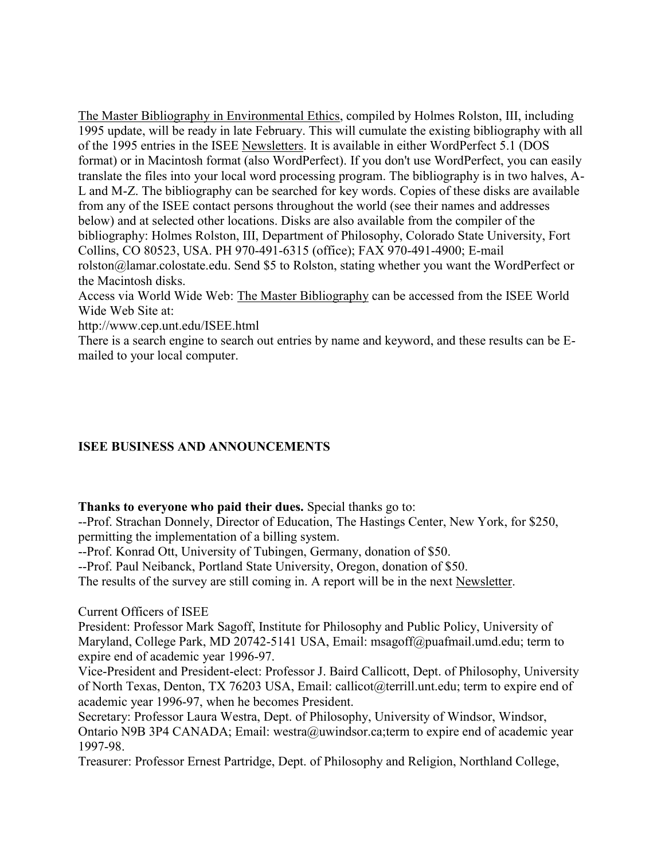The Master Bibliography in Environmental Ethics, compiled by Holmes Rolston, III, including 1995 update, will be ready in late February. This will cumulate the existing bibliography with all of the 1995 entries in the ISEE Newsletters. It is available in either WordPerfect 5.1 (DOS format) or in Macintosh format (also WordPerfect). If you don't use WordPerfect, you can easily translate the files into your local word processing program. The bibliography is in two halves, A-L and M-Z. The bibliography can be searched for key words. Copies of these disks are available from any of the ISEE contact persons throughout the world (see their names and addresses below) and at selected other locations. Disks are also available from the compiler of the bibliography: Holmes Rolston, III, Department of Philosophy, Colorado State University, Fort Collins, CO 80523, USA. PH 970-491-6315 (office); FAX 970-491-4900; E-mail rolston@lamar.colostate.edu. Send \$5 to Rolston, stating whether you want the WordPerfect or the Macintosh disks.

Access via World Wide Web: The Master Bibliography can be accessed from the ISEE World Wide Web Site at:

http://www.cep.unt.edu/ISEE.html

There is a search engine to search out entries by name and keyword, and these results can be Emailed to your local computer.

### **ISEE BUSINESS AND ANNOUNCEMENTS**

### **Thanks to everyone who paid their dues.** Special thanks go to:

--Prof. Strachan Donnely, Director of Education, The Hastings Center, New York, for \$250, permitting the implementation of a billing system.

--Prof. Konrad Ott, University of Tubingen, Germany, donation of \$50.

--Prof. Paul Neibanck, Portland State University, Oregon, donation of \$50.

The results of the survey are still coming in. A report will be in the next Newsletter.

Current Officers of ISEE

President: Professor Mark Sagoff, Institute for Philosophy and Public Policy, University of Maryland, College Park, MD 20742-5141 USA, Email: msagoff@puafmail.umd.edu; term to expire end of academic year 1996-97.

Vice-President and President-elect: Professor J. Baird Callicott, Dept. of Philosophy, University of North Texas, Denton, TX 76203 USA, Email: callicot@terrill.unt.edu; term to expire end of academic year 1996-97, when he becomes President.

Secretary: Professor Laura Westra, Dept. of Philosophy, University of Windsor, Windsor, Ontario N9B 3P4 CANADA; Email: westra@uwindsor.ca;term to expire end of academic year 1997-98.

Treasurer: Professor Ernest Partridge, Dept. of Philosophy and Religion, Northland College,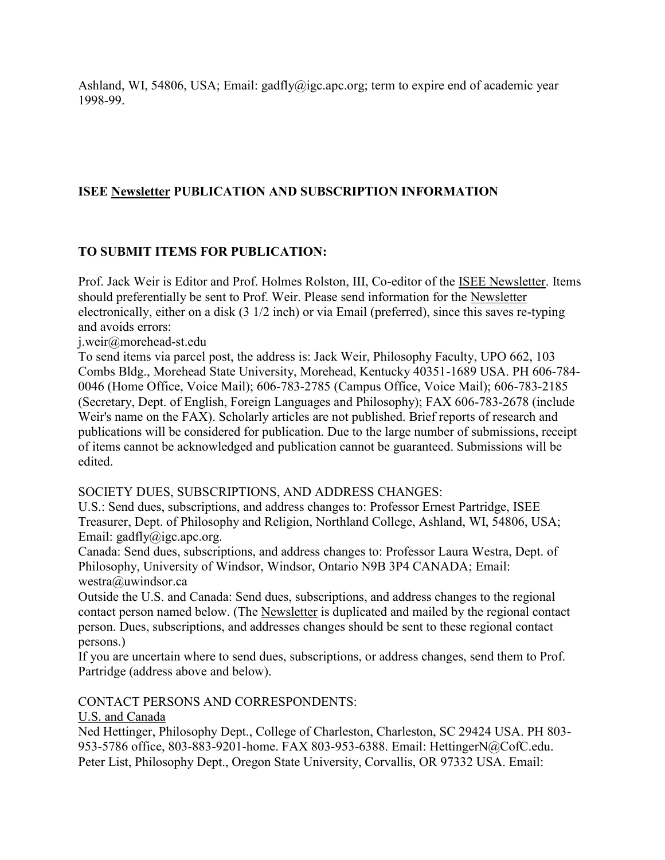Ashland, WI, 54806, USA; Email: gadfly@igc.apc.org; term to expire end of academic year 1998-99.

### **ISEE Newsletter PUBLICATION AND SUBSCRIPTION INFORMATION**

### **TO SUBMIT ITEMS FOR PUBLICATION:**

Prof. Jack Weir is Editor and Prof. Holmes Rolston, III, Co-editor of the ISEE Newsletter. Items should preferentially be sent to Prof. Weir. Please send information for the Newsletter electronically, either on a disk (3 1/2 inch) or via Email (preferred), since this saves re-typing and avoids errors:

j.weir@morehead-st.edu

To send items via parcel post, the address is: Jack Weir, Philosophy Faculty, UPO 662, 103 Combs Bldg., Morehead State University, Morehead, Kentucky 40351-1689 USA. PH 606-784- 0046 (Home Office, Voice Mail); 606-783-2785 (Campus Office, Voice Mail); 606-783-2185 (Secretary, Dept. of English, Foreign Languages and Philosophy); FAX 606-783-2678 (include Weir's name on the FAX). Scholarly articles are not published. Brief reports of research and publications will be considered for publication. Due to the large number of submissions, receipt of items cannot be acknowledged and publication cannot be guaranteed. Submissions will be edited.

#### SOCIETY DUES, SUBSCRIPTIONS, AND ADDRESS CHANGES:

U.S.: Send dues, subscriptions, and address changes to: Professor Ernest Partridge, ISEE Treasurer, Dept. of Philosophy and Religion, Northland College, Ashland, WI, 54806, USA; Email: gadfly@igc.apc.org.

Canada: Send dues, subscriptions, and address changes to: Professor Laura Westra, Dept. of Philosophy, University of Windsor, Windsor, Ontario N9B 3P4 CANADA; Email: westra@uwindsor.ca

Outside the U.S. and Canada: Send dues, subscriptions, and address changes to the regional contact person named below. (The Newsletter is duplicated and mailed by the regional contact person. Dues, subscriptions, and addresses changes should be sent to these regional contact persons.)

If you are uncertain where to send dues, subscriptions, or address changes, send them to Prof. Partridge (address above and below).

#### CONTACT PERSONS AND CORRESPONDENTS:

#### U.S. and Canada

Ned Hettinger, Philosophy Dept., College of Charleston, Charleston, SC 29424 USA. PH 803- 953-5786 office, 803-883-9201-home. FAX 803-953-6388. Email: HettingerN@CofC.edu. Peter List, Philosophy Dept., Oregon State University, Corvallis, OR 97332 USA. Email: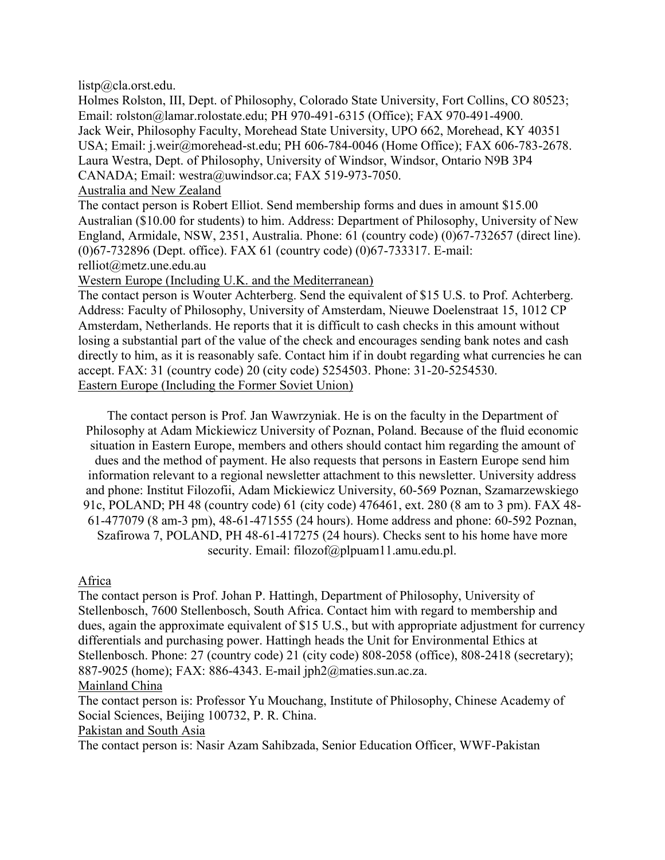listp@cla.orst.edu.

Holmes Rolston, III, Dept. of Philosophy, Colorado State University, Fort Collins, CO 80523; Email: rolston@lamar.rolostate.edu; PH 970-491-6315 (Office); FAX 970-491-4900. Jack Weir, Philosophy Faculty, Morehead State University, UPO 662, Morehead, KY 40351 USA; Email: j.weir@morehead-st.edu; PH 606-784-0046 (Home Office); FAX 606-783-2678. Laura Westra, Dept. of Philosophy, University of Windsor, Windsor, Ontario N9B 3P4 CANADA; Email: westra@uwindsor.ca; FAX 519-973-7050.

Australia and New Zealand

The contact person is Robert Elliot. Send membership forms and dues in amount \$15.00 Australian (\$10.00 for students) to him. Address: Department of Philosophy, University of New England, Armidale, NSW, 2351, Australia. Phone: 61 (country code) (0)67-732657 (direct line). (0)67-732896 (Dept. office). FAX 61 (country code) (0)67-733317. E-mail: relliot@metz.une.edu.au

Western Europe (Including U.K. and the Mediterranean)

The contact person is Wouter Achterberg. Send the equivalent of \$15 U.S. to Prof. Achterberg. Address: Faculty of Philosophy, University of Amsterdam, Nieuwe Doelenstraat 15, 1012 CP Amsterdam, Netherlands. He reports that it is difficult to cash checks in this amount without losing a substantial part of the value of the check and encourages sending bank notes and cash directly to him, as it is reasonably safe. Contact him if in doubt regarding what currencies he can accept. FAX: 31 (country code) 20 (city code) 5254503. Phone: 31-20-5254530. Eastern Europe (Including the Former Soviet Union)

The contact person is Prof. Jan Wawrzyniak. He is on the faculty in the Department of Philosophy at Adam Mickiewicz University of Poznan, Poland. Because of the fluid economic situation in Eastern Europe, members and others should contact him regarding the amount of dues and the method of payment. He also requests that persons in Eastern Europe send him information relevant to a regional newsletter attachment to this newsletter. University address and phone: Institut Filozofii, Adam Mickiewicz University, 60-569 Poznan, Szamarzewskiego 91c, POLAND; PH 48 (country code) 61 (city code) 476461, ext. 280 (8 am to 3 pm). FAX 48- 61-477079 (8 am-3 pm), 48-61-471555 (24 hours). Home address and phone: 60-592 Poznan, Szafirowa 7, POLAND, PH 48-61-417275 (24 hours). Checks sent to his home have more security. Email: filozof@plpuam11.amu.edu.pl.

Africa

The contact person is Prof. Johan P. Hattingh, Department of Philosophy, University of Stellenbosch, 7600 Stellenbosch, South Africa. Contact him with regard to membership and dues, again the approximate equivalent of \$15 U.S., but with appropriate adjustment for currency differentials and purchasing power. Hattingh heads the Unit for Environmental Ethics at Stellenbosch. Phone: 27 (country code) 21 (city code) 808-2058 (office), 808-2418 (secretary); 887-9025 (home); FAX: 886-4343. E-mail jph2@maties.sun.ac.za.

#### Mainland China

The contact person is: Professor Yu Mouchang, Institute of Philosophy, Chinese Academy of Social Sciences, Beijing 100732, P. R. China.

Pakistan and South Asia

The contact person is: Nasir Azam Sahibzada, Senior Education Officer, WWF-Pakistan